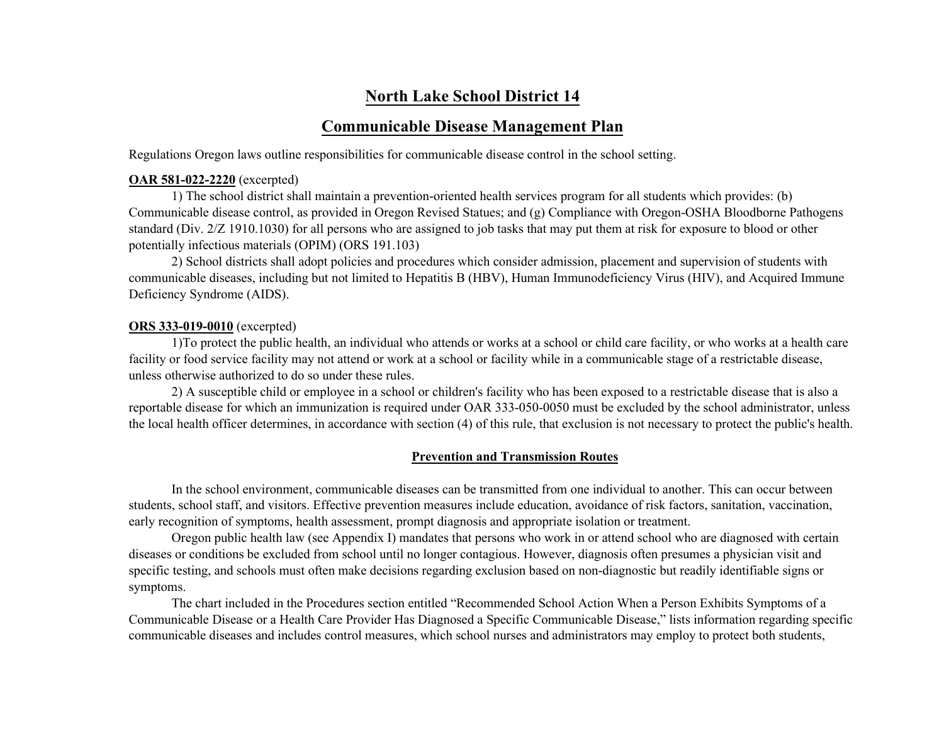# **North Lake School District 14**

# **Communicable Disease Management Plan**

Regulations Oregon laws outline responsibilities for communicable disease control in the school setting.

#### **OAR 581-022-2220** (excerpted)

1) The school district shall maintain a prevention-oriented health services program for all students which provides: (b) Communicable disease control, as provided in Oregon Revised Statues; and (g) Compliance with Oregon-OSHA Bloodborne Pathogens standard (Div. 2/Z 1910.1030) for all persons who are assigned to job tasks that may put them at risk for exposure to blood or other potentially infectious materials (OPIM) (ORS 191.103)

2) School districts shall adopt policies and procedures which consider admission, placement and supervision of students with communicable diseases, including but not limited to Hepatitis B (HBV), Human Immunodeficiency Virus (HIV), and Acquired Immune Deficiency Syndrome (AIDS).

#### **ORS 333-019-0010** (excerpted)

1)To protect the public health, an individual who attends or works at a school or child care facility, or who works at a health care facility or food service facility may not attend or work at a school or facility while in a communicable stage of a restrictable disease, unless otherwise authorized to do so under these rules.

2) A susceptible child or employee in a school or children's facility who has been exposed to a restrictable disease that is also a reportable disease for which an immunization is required under OAR 333-050-0050 must be excluded by the school administrator, unless the local health officer determines, in accordance with section (4) of this rule, that exclusion is not necessary to protect the public's health.

#### **Prevention and Transmission Routes**

In the school environment, communicable diseases can be transmitted from one individual to another. This can occur between students, school staff, and visitors. Effective prevention measures include education, avoidance of risk factors, sanitation, vaccination, early recognition of symptoms, health assessment, prompt diagnosis and appropriate isolation or treatment.

Oregon public health law (see Appendix I) mandates that persons who work in or attend school who are diagnosed with certain diseases or conditions be excluded from school until no longer contagious. However, diagnosis often presumes a physician visit and specific testing, and schools must often make decisions regarding exclusion based on non-diagnostic but readily identifiable signs or symptoms.

The chart included in the Procedures section entitled "Recommended School Action When a Person Exhibits Symptoms of a Communicable Disease or a Health Care Provider Has Diagnosed a Specific Communicable Disease," lists information regarding specific communicable diseases and includes control measures, which school nurses and administrators may employ to protect both students,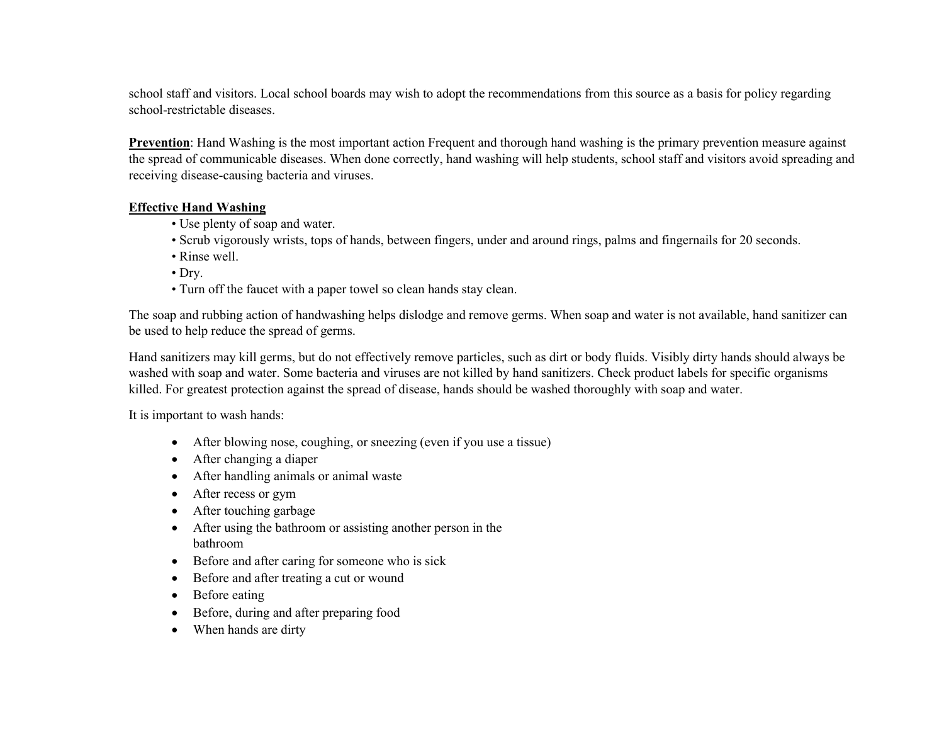school staff and visitors. Local school boards may wish to adopt the recommendations from this source as a basis for policy regarding school-restrictable diseases.

**Prevention**: Hand Washing is the most important action Frequent and thorough hand washing is the primary prevention measure against the spread of communicable diseases. When done correctly, hand washing will help students, school staff and visitors avoid spreading and receiving disease-causing bacteria and viruses.

## **Effective Hand Washing**

- Use plenty of soap and water.
- Scrub vigorously wrists, tops of hands, between fingers, under and around rings, palms and fingernails for 20 seconds.
- Rinse well.
- Dry.
- Turn off the faucet with a paper towel so clean hands stay clean.

The soap and rubbing action of handwashing helps dislodge and remove germs. When soap and water is not available, hand sanitizer can be used to help reduce the spread of germs.

Hand sanitizers may kill germs, but do not effectively remove particles, such as dirt or body fluids. Visibly dirty hands should always be washed with soap and water. Some bacteria and viruses are not killed by hand sanitizers. Check product labels for specific organisms killed. For greatest protection against the spread of disease, hands should be washed thoroughly with soap and water.

It is important to wash hands:

- After blowing nose, coughing, or sneezing (even if you use a tissue)
- After changing a diaper
- After handling animals or animal waste
- After recess or gym
- After touching garbage
- After using the bathroom or assisting another person in the bathroom
- Before and after caring for someone who is sick
- Before and after treating a cut or wound
- Before eating
- Before, during and after preparing food
- When hands are dirty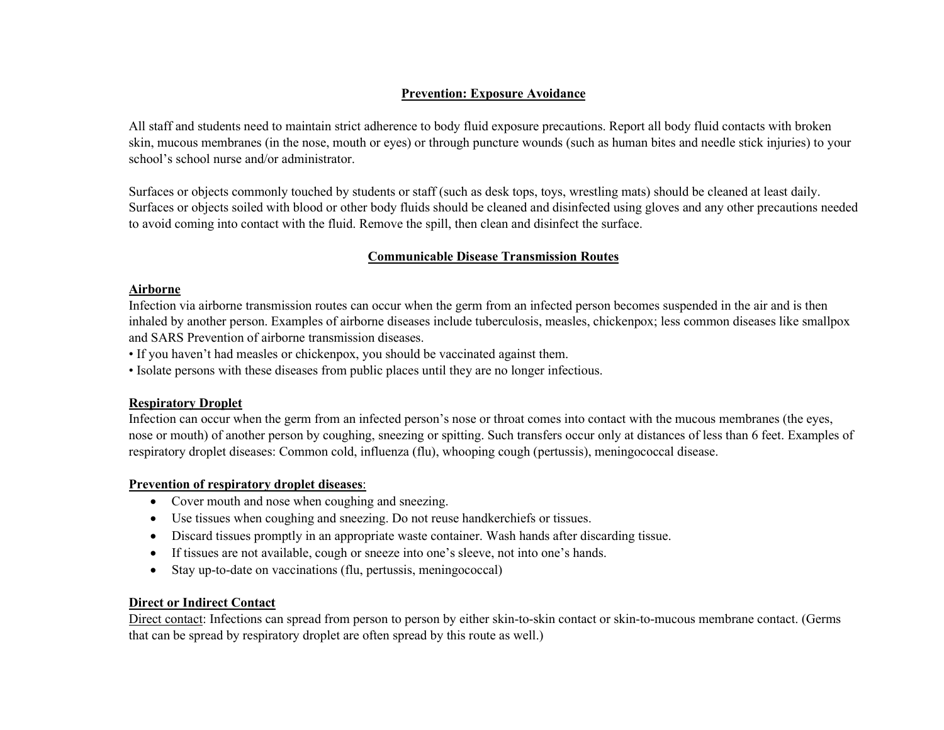## **Prevention: Exposure Avoidance**

All staff and students need to maintain strict adherence to body fluid exposure precautions. Report all body fluid contacts with broken skin, mucous membranes (in the nose, mouth or eyes) or through puncture wounds (such as human bites and needle stick injuries) to your school's school nurse and/or administrator.

Surfaces or objects commonly touched by students or staff (such as desk tops, toys, wrestling mats) should be cleaned at least daily. Surfaces or objects soiled with blood or other body fluids should be cleaned and disinfected using gloves and any other precautions needed to avoid coming into contact with the fluid. Remove the spill, then clean and disinfect the surface.

## **Communicable Disease Transmission Routes**

## **Airborne**

Infection via airborne transmission routes can occur when the germ from an infected person becomes suspended in the air and is then inhaled by another person. Examples of airborne diseases include tuberculosis, measles, chickenpox; less common diseases like smallpox and SARS Prevention of airborne transmission diseases.

• If you haven't had measles or chickenpox, you should be vaccinated against them.

• Isolate persons with these diseases from public places until they are no longer infectious.

## **Respiratory Droplet**

Infection can occur when the germ from an infected person's nose or throat comes into contact with the mucous membranes (the eyes, nose or mouth) of another person by coughing, sneezing or spitting. Such transfers occur only at distances of less than 6 feet. Examples of respiratory droplet diseases: Common cold, influenza (flu), whooping cough (pertussis), meningococcal disease.

## **Prevention of respiratory droplet diseases**:

- Cover mouth and nose when coughing and sneezing.
- Use tissues when coughing and sneezing. Do not reuse handkerchiefs or tissues.
- Discard tissues promptly in an appropriate waste container. Wash hands after discarding tissue.
- If tissues are not available, cough or sneeze into one's sleeve, not into one's hands.
- Stay up-to-date on vaccinations (flu, pertussis, meningococcal)

## **Direct or Indirect Contact**

Direct contact: Infections can spread from person to person by either skin-to-skin contact or skin-to-mucous membrane contact. (Germs that can be spread by respiratory droplet are often spread by this route as well.)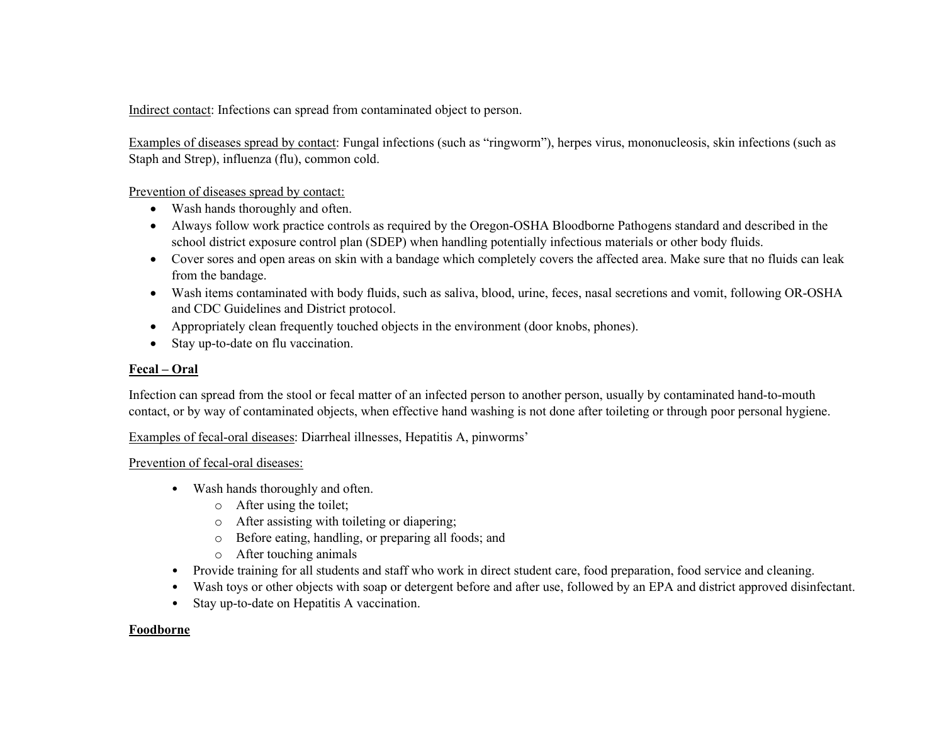Indirect contact: Infections can spread from contaminated object to person.

Examples of diseases spread by contact: Fungal infections (such as "ringworm"), herpes virus, mononucleosis, skin infections (such as Staph and Strep), influenza (flu), common cold.

Prevention of diseases spread by contact:

- Wash hands thoroughly and often.
- Always follow work practice controls as required by the Oregon-OSHA Bloodborne Pathogens standard and described in the school district exposure control plan (SDEP) when handling potentially infectious materials or other body fluids.
- Cover sores and open areas on skin with a bandage which completely covers the affected area. Make sure that no fluids can leak from the bandage.
- Wash items contaminated with body fluids, such as saliva, blood, urine, feces, nasal secretions and vomit, following OR-OSHA and CDC Guidelines and District protocol.
- Appropriately clean frequently touched objects in the environment (door knobs, phones).
- Stay up-to-date on flu vaccination.

## **Fecal – Oral**

Infection can spread from the stool or fecal matter of an infected person to another person, usually by contaminated hand-to-mouth contact, or by way of contaminated objects, when effective hand washing is not done after toileting or through poor personal hygiene.

Examples of fecal-oral diseases: Diarrheal illnesses, Hepatitis A, pinworms'

## Prevention of fecal-oral diseases:

- Wash hands thoroughly and often.
	- o After using the toilet;
	- o After assisting with toileting or diapering;
	- o Before eating, handling, or preparing all foods; and
	- o After touching animals
- Provide training for all students and staff who work in direct student care, food preparation, food service and cleaning.
- Wash toys or other objects with soap or detergent before and after use, followed by an EPA and district approved disinfectant.
- Stay up-to-date on Hepatitis A vaccination.

## **Foodborne**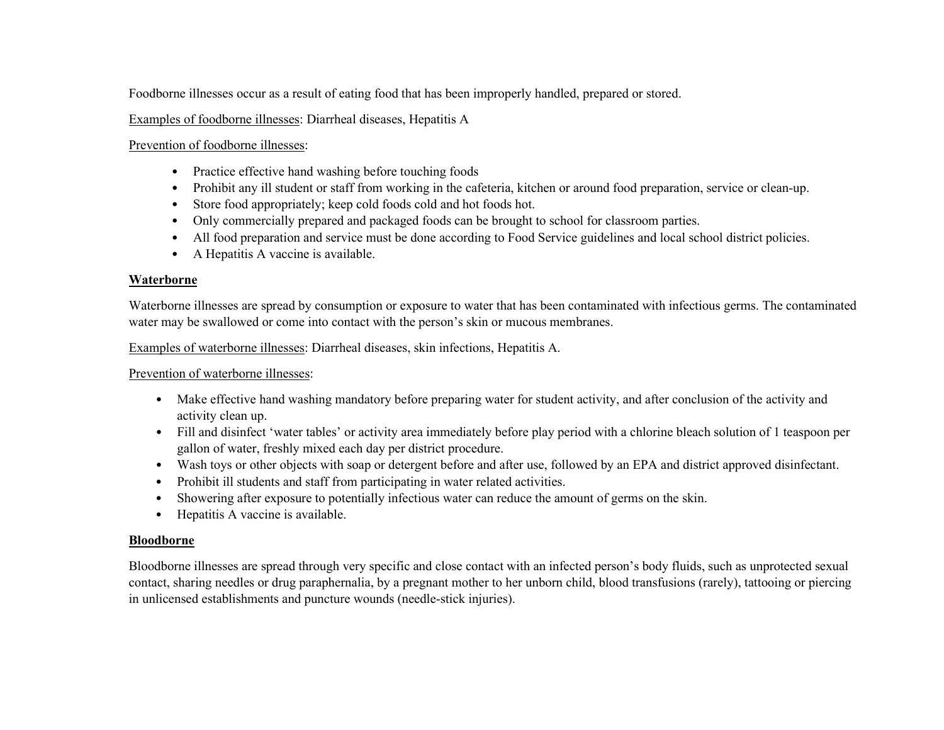Foodborne illnesses occur as a result of eating food that has been improperly handled, prepared or stored.

Examples of foodborne illnesses: Diarrheal diseases, Hepatitis A

Prevention of foodborne illnesses:

- Practice effective hand washing before touching foods
- Prohibit any ill student or staff from working in the cafeteria, kitchen or around food preparation, service or clean-up.
- Store food appropriately; keep cold foods cold and hot foods hot.
- Only commercially prepared and packaged foods can be brought to school for classroom parties.
- All food preparation and service must be done according to Food Service guidelines and local school district policies.
- A Hepatitis A vaccine is available.

## **Waterborne**

Waterborne illnesses are spread by consumption or exposure to water that has been contaminated with infectious germs. The contaminated water may be swallowed or come into contact with the person's skin or mucous membranes.

Examples of waterborne illnesses: Diarrheal diseases, skin infections, Hepatitis A.

Prevention of waterborne illnesses:

- Make effective hand washing mandatory before preparing water for student activity, and after conclusion of the activity and activity clean up.
- Fill and disinfect 'water tables' or activity area immediately before play period with a chlorine bleach solution of 1 teaspoon per gallon of water, freshly mixed each day per district procedure.
- Wash toys or other objects with soap or detergent before and after use, followed by an EPA and district approved disinfectant.
- Prohibit ill students and staff from participating in water related activities.
- Showering after exposure to potentially infectious water can reduce the amount of germs on the skin.
- Hepatitis A vaccine is available.

## **Bloodborne**

Bloodborne illnesses are spread through very specific and close contact with an infected person's body fluids, such as unprotected sexual contact, sharing needles or drug paraphernalia, by a pregnant mother to her unborn child, blood transfusions (rarely), tattooing or piercing in unlicensed establishments and puncture wounds (needle-stick injuries).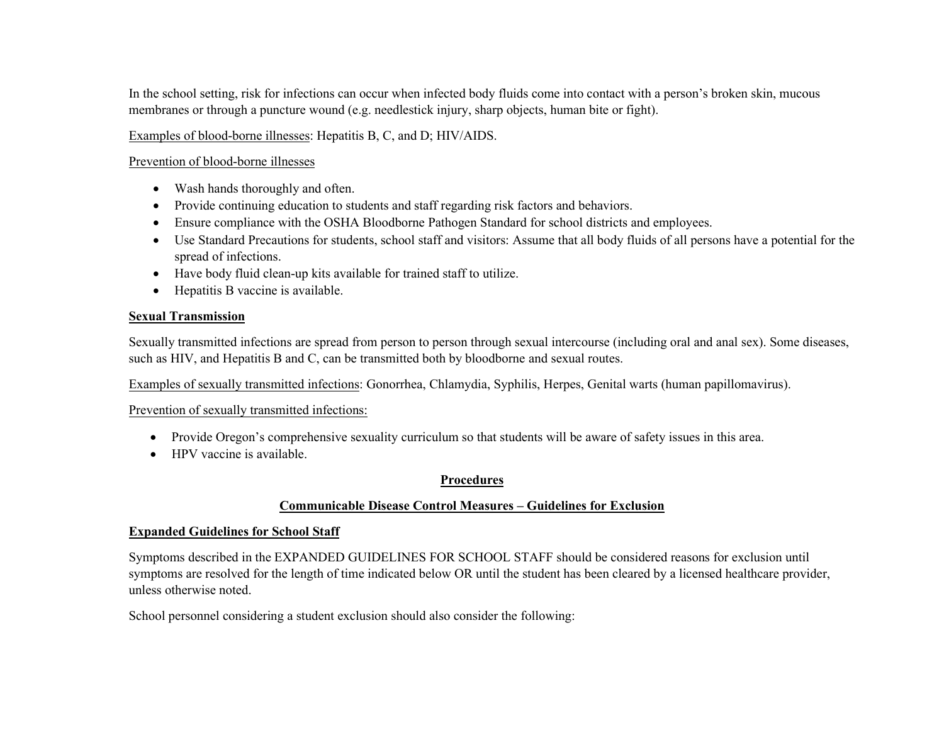In the school setting, risk for infections can occur when infected body fluids come into contact with a person's broken skin, mucous membranes or through a puncture wound (e.g. needlestick injury, sharp objects, human bite or fight).

Examples of blood-borne illnesses: Hepatitis B, C, and D; HIV/AIDS.

#### Prevention of blood-borne illnesses

- Wash hands thoroughly and often.
- Provide continuing education to students and staff regarding risk factors and behaviors.
- Ensure compliance with the OSHA Bloodborne Pathogen Standard for school districts and employees.
- Use Standard Precautions for students, school staff and visitors: Assume that all body fluids of all persons have a potential for the spread of infections.
- Have body fluid clean-up kits available for trained staff to utilize.
- Hepatitis B vaccine is available.

## **Sexual Transmission**

Sexually transmitted infections are spread from person to person through sexual intercourse (including oral and anal sex). Some diseases, such as HIV, and Hepatitis B and C, can be transmitted both by bloodborne and sexual routes.

Examples of sexually transmitted infections: Gonorrhea, Chlamydia, Syphilis, Herpes, Genital warts (human papillomavirus).

## Prevention of sexually transmitted infections:

- Provide Oregon's comprehensive sexuality curriculum so that students will be aware of safety issues in this area.
- HPV vaccine is available.

## **Procedures**

## **Communicable Disease Control Measures – Guidelines for Exclusion**

## **Expanded Guidelines for School Staff**

Symptoms described in the EXPANDED GUIDELINES FOR SCHOOL STAFF should be considered reasons for exclusion until symptoms are resolved for the length of time indicated below OR until the student has been cleared by a licensed healthcare provider, unless otherwise noted.

School personnel considering a student exclusion should also consider the following: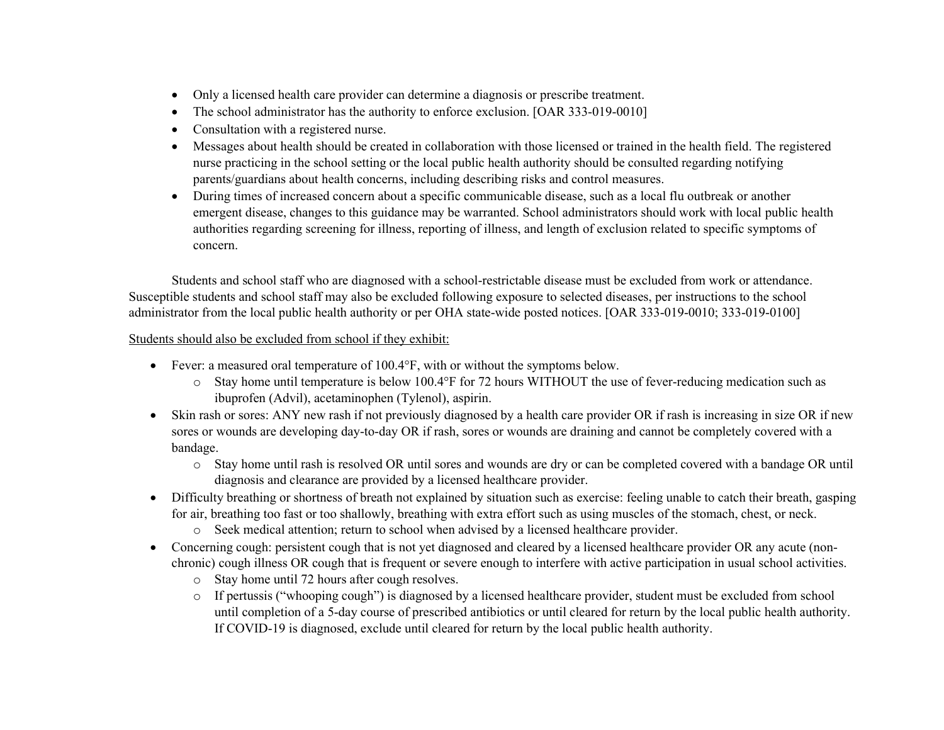- Only a licensed health care provider can determine a diagnosis or prescribe treatment.
- The school administrator has the authority to enforce exclusion. [OAR 333-019-0010]
- Consultation with a registered nurse.
- Messages about health should be created in collaboration with those licensed or trained in the health field. The registered nurse practicing in the school setting or the local public health authority should be consulted regarding notifying parents/guardians about health concerns, including describing risks and control measures.
- During times of increased concern about a specific communicable disease, such as a local flu outbreak or another emergent disease, changes to this guidance may be warranted. School administrators should work with local public health authorities regarding screening for illness, reporting of illness, and length of exclusion related to specific symptoms of concern.

Students and school staff who are diagnosed with a school-restrictable disease must be excluded from work or attendance. Susceptible students and school staff may also be excluded following exposure to selected diseases, per instructions to the school administrator from the local public health authority or per OHA state-wide posted notices. [OAR 333-019-0010; 333-019-0100]

Students should also be excluded from school if they exhibit:

- Fever: a measured oral temperature of 100.4°F, with or without the symptoms below.
	- o Stay home until temperature is below 100.4°F for 72 hours WITHOUT the use of fever-reducing medication such as ibuprofen (Advil), acetaminophen (Tylenol), aspirin.
- Skin rash or sores: ANY new rash if not previously diagnosed by a health care provider OR if rash is increasing in size OR if new sores or wounds are developing day-to-day OR if rash, sores or wounds are draining and cannot be completely covered with a bandage.
	- o Stay home until rash is resolved OR until sores and wounds are dry or can be completed covered with a bandage OR until diagnosis and clearance are provided by a licensed healthcare provider.
- Difficulty breathing or shortness of breath not explained by situation such as exercise: feeling unable to catch their breath, gasping for air, breathing too fast or too shallowly, breathing with extra effort such as using muscles of the stomach, chest, or neck.
	- o Seek medical attention; return to school when advised by a licensed healthcare provider.
- Concerning cough: persistent cough that is not yet diagnosed and cleared by a licensed healthcare provider OR any acute (nonchronic) cough illness OR cough that is frequent or severe enough to interfere with active participation in usual school activities.
	- o Stay home until 72 hours after cough resolves.
	- o If pertussis ("whooping cough") is diagnosed by a licensed healthcare provider, student must be excluded from school until completion of a 5-day course of prescribed antibiotics or until cleared for return by the local public health authority. If COVID-19 is diagnosed, exclude until cleared for return by the local public health authority.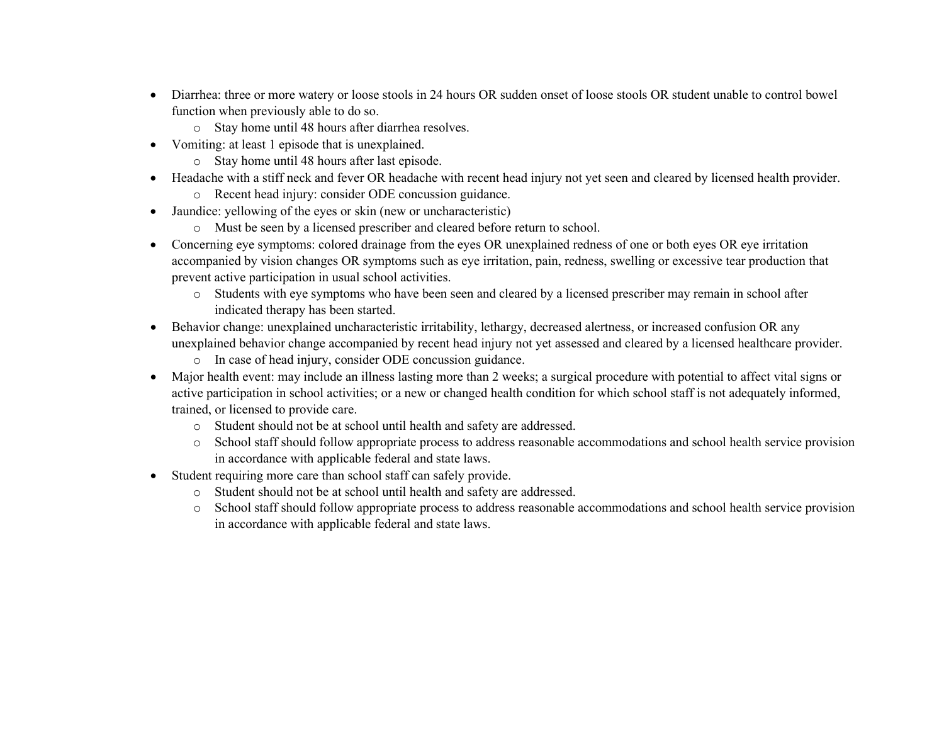- Diarrhea: three or more watery or loose stools in 24 hours OR sudden onset of loose stools OR student unable to control bowel function when previously able to do so.
	- o Stay home until 48 hours after diarrhea resolves.
- Vomiting: at least 1 episode that is unexplained.
	- o Stay home until 48 hours after last episode.
- Headache with a stiff neck and fever OR headache with recent head injury not yet seen and cleared by licensed health provider.
	- o Recent head injury: consider ODE concussion guidance.
- Jaundice: yellowing of the eyes or skin (new or uncharacteristic)
	- o Must be seen by a licensed prescriber and cleared before return to school.
- Concerning eye symptoms: colored drainage from the eyes OR unexplained redness of one or both eyes OR eye irritation accompanied by vision changes OR symptoms such as eye irritation, pain, redness, swelling or excessive tear production that prevent active participation in usual school activities.
	- o Students with eye symptoms who have been seen and cleared by a licensed prescriber may remain in school after indicated therapy has been started.
- Behavior change: unexplained uncharacteristic irritability, lethargy, decreased alertness, or increased confusion OR any unexplained behavior change accompanied by recent head injury not yet assessed and cleared by a licensed healthcare provider.
	- o In case of head injury, consider ODE concussion guidance.
- Major health event: may include an illness lasting more than 2 weeks; a surgical procedure with potential to affect vital signs or active participation in school activities; or a new or changed health condition for which school staff is not adequately informed, trained, or licensed to provide care.
	- o Student should not be at school until health and safety are addressed.
	- o School staff should follow appropriate process to address reasonable accommodations and school health service provision in accordance with applicable federal and state laws.
- Student requiring more care than school staff can safely provide.
	- o Student should not be at school until health and safety are addressed.
	- o School staff should follow appropriate process to address reasonable accommodations and school health service provision in accordance with applicable federal and state laws.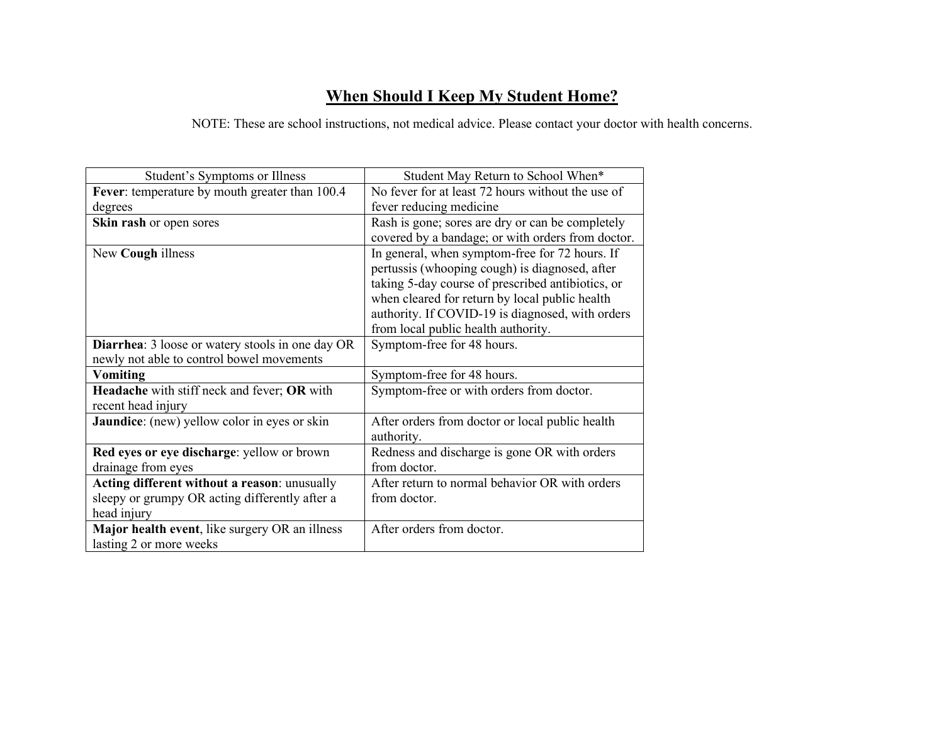# **When Should I Keep My Student Home?**

NOTE: These are school instructions, not medical advice. Please contact your doctor with health concerns.

| Student's Symptoms or Illness                            | Student May Return to School When*                |
|----------------------------------------------------------|---------------------------------------------------|
| Fever: temperature by mouth greater than 100.4           | No fever for at least 72 hours without the use of |
| degrees                                                  | fever reducing medicine                           |
| Skin rash or open sores                                  | Rash is gone; sores are dry or can be completely  |
|                                                          | covered by a bandage; or with orders from doctor. |
| New Cough illness                                        | In general, when symptom-free for 72 hours. If    |
|                                                          | pertussis (whooping cough) is diagnosed, after    |
|                                                          | taking 5-day course of prescribed antibiotics, or |
|                                                          | when cleared for return by local public health    |
|                                                          | authority. If COVID-19 is diagnosed, with orders  |
|                                                          | from local public health authority.               |
| <b>Diarrhea</b> : 3 loose or watery stools in one day OR | Symptom-free for 48 hours.                        |
| newly not able to control bowel movements                |                                                   |
| <b>Vomiting</b>                                          | Symptom-free for 48 hours.                        |
| Headache with stiff neck and fever; OR with              | Symptom-free or with orders from doctor.          |
| recent head injury                                       |                                                   |
| <b>Jaundice:</b> (new) yellow color in eyes or skin      | After orders from doctor or local public health   |
|                                                          | authority.                                        |
| Red eyes or eye discharge: yellow or brown               | Redness and discharge is gone OR with orders      |
| drainage from eyes                                       | from doctor.                                      |
| Acting different without a reason: unusually             | After return to normal behavior OR with orders    |
| sleepy or grumpy OR acting differently after a           | from doctor.                                      |
| head injury                                              |                                                   |
| Major health event, like surgery OR an illness           | After orders from doctor.                         |
| lasting 2 or more weeks                                  |                                                   |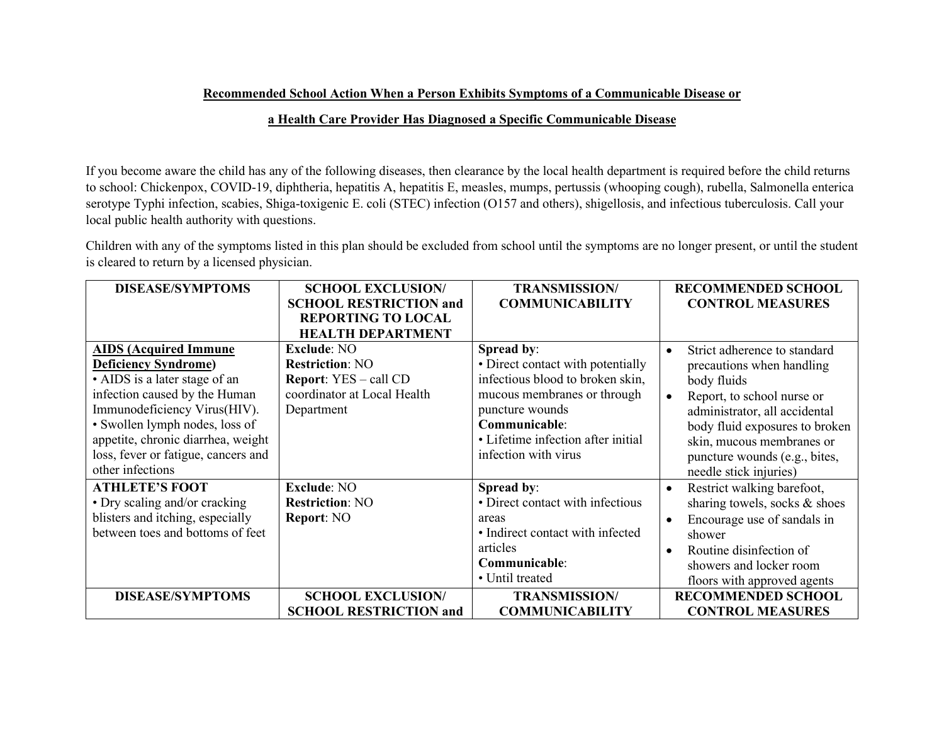## **Recommended School Action When a Person Exhibits Symptoms of a Communicable Disease or**

## **a Health Care Provider Has Diagnosed a Specific Communicable Disease**

If you become aware the child has any of the following diseases, then clearance by the local health department is required before the child returns to school: Chickenpox, COVID-19, diphtheria, hepatitis A, hepatitis E, measles, mumps, pertussis (whooping cough), rubella, Salmonella enterica serotype Typhi infection, scabies, Shiga-toxigenic E. coli (STEC) infection (O157 and others), shigellosis, and infectious tuberculosis. Call your local public health authority with questions.

Children with any of the symptoms listed in this plan should be excluded from school until the symptoms are no longer present, or until the student is cleared to return by a licensed physician.

| <b>DISEASE/SYMPTOMS</b>             | <b>SCHOOL EXCLUSION/</b>      | <b>TRANSMISSION/</b>               | <b>RECOMMENDED SCHOOL</b>                 |
|-------------------------------------|-------------------------------|------------------------------------|-------------------------------------------|
|                                     | <b>SCHOOL RESTRICTION and</b> | <b>COMMUNICABILITY</b>             | <b>CONTROL MEASURES</b>                   |
|                                     | <b>REPORTING TO LOCAL</b>     |                                    |                                           |
|                                     | <b>HEALTH DEPARTMENT</b>      |                                    |                                           |
| <b>AIDS</b> (Acquired Immune        | <b>Exclude: NO</b>            | Spread by:                         | Strict adherence to standard<br>$\bullet$ |
| <b>Deficiency Syndrome)</b>         | <b>Restriction: NO</b>        | • Direct contact with potentially  | precautions when handling                 |
| • AIDS is a later stage of an       | <b>Report:</b> YES – call CD  | infectious blood to broken skin,   | body fluids                               |
| infection caused by the Human       | coordinator at Local Health   | mucous membranes or through        | Report, to school nurse or<br>$\bullet$   |
| Immunodeficiency Virus(HIV).        | Department                    | puncture wounds                    | administrator, all accidental             |
| · Swollen lymph nodes, loss of      |                               | Communicable:                      | body fluid exposures to broken            |
| appetite, chronic diarrhea, weight  |                               | • Lifetime infection after initial | skin, mucous membranes or                 |
| loss, fever or fatigue, cancers and |                               | infection with virus               | puncture wounds (e.g., bites,             |
| other infections                    |                               |                                    | needle stick injuries)                    |
| <b>ATHLETE'S FOOT</b>               | <b>Exclude: NO</b>            | Spread by:                         | Restrict walking barefoot,<br>$\bullet$   |
| • Dry scaling and/or cracking       | <b>Restriction: NO</b>        | • Direct contact with infectious   | sharing towels, socks & shoes             |
| blisters and itching, especially    | Report: NO                    | areas                              | Encourage use of sandals in<br>$\bullet$  |
| between toes and bottoms of feet    |                               | • Indirect contact with infected   | shower                                    |
|                                     |                               | articles                           | Routine disinfection of<br>$\bullet$      |
|                                     |                               | Communicable:                      | showers and locker room                   |
|                                     |                               | • Until treated                    | floors with approved agents               |
| <b>DISEASE/SYMPTOMS</b>             | <b>SCHOOL EXCLUSION/</b>      | <b>TRANSMISSION/</b>               | <b>RECOMMENDED SCHOOL</b>                 |
|                                     | <b>SCHOOL RESTRICTION and</b> | <b>COMMUNICABILITY</b>             | <b>CONTROL MEASURES</b>                   |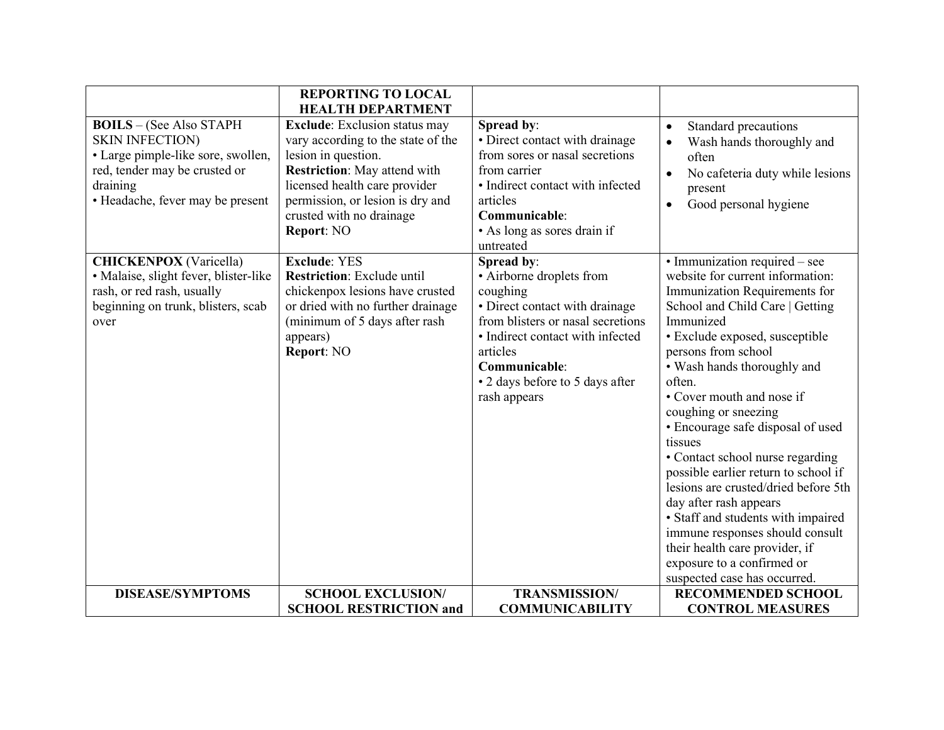|                                                                                                                                                                                 | <b>REPORTING TO LOCAL</b><br><b>HEALTH DEPARTMENT</b>                                                                                                                                                                                                   |                                                                                                                                                                                                                                               |                                                                                                                                                                                                                                                                                                                                                                                                                                                                                                                                                                                                                                                                                  |
|---------------------------------------------------------------------------------------------------------------------------------------------------------------------------------|---------------------------------------------------------------------------------------------------------------------------------------------------------------------------------------------------------------------------------------------------------|-----------------------------------------------------------------------------------------------------------------------------------------------------------------------------------------------------------------------------------------------|----------------------------------------------------------------------------------------------------------------------------------------------------------------------------------------------------------------------------------------------------------------------------------------------------------------------------------------------------------------------------------------------------------------------------------------------------------------------------------------------------------------------------------------------------------------------------------------------------------------------------------------------------------------------------------|
| <b>BOILS</b> - (See Also STAPH<br><b>SKIN INFECTION)</b><br>· Large pimple-like sore, swollen,<br>red, tender may be crusted or<br>draining<br>· Headache, fever may be present | <b>Exclude:</b> Exclusion status may<br>vary according to the state of the<br>lesion in question.<br><b>Restriction:</b> May attend with<br>licensed health care provider<br>permission, or lesion is dry and<br>crusted with no drainage<br>Report: NO | Spread by:<br>• Direct contact with drainage<br>from sores or nasal secretions<br>from carrier<br>• Indirect contact with infected<br>articles<br>Communicable:<br>• As long as sores drain if<br>untreated                                   | Standard precautions<br>$\bullet$<br>Wash hands thoroughly and<br>$\bullet$<br>often<br>No cafeteria duty while lesions<br>present<br>Good personal hygiene<br>$\bullet$                                                                                                                                                                                                                                                                                                                                                                                                                                                                                                         |
| <b>CHICKENPOX</b> (Varicella)<br>· Malaise, slight fever, blister-like<br>rash, or red rash, usually<br>beginning on trunk, blisters, scab<br>over                              | <b>Exclude: YES</b><br><b>Restriction:</b> Exclude until<br>chickenpox lesions have crusted<br>or dried with no further drainage<br>(minimum of 5 days after rash<br>appears)<br>Report: NO                                                             | Spread by:<br>• Airborne droplets from<br>coughing<br>· Direct contact with drainage<br>from blisters or nasal secretions<br>· Indirect contact with infected<br>articles<br>Communicable:<br>• 2 days before to 5 days after<br>rash appears | • Immunization required – see<br>website for current information:<br>Immunization Requirements for<br>School and Child Care   Getting<br>Immunized<br>· Exclude exposed, susceptible<br>persons from school<br>• Wash hands thoroughly and<br>often.<br>• Cover mouth and nose if<br>coughing or sneezing<br>• Encourage safe disposal of used<br>tissues<br>• Contact school nurse regarding<br>possible earlier return to school if<br>lesions are crusted/dried before 5th<br>day after rash appears<br>• Staff and students with impaired<br>immune responses should consult<br>their health care provider, if<br>exposure to a confirmed or<br>suspected case has occurred. |
| <b>DISEASE/SYMPTOMS</b>                                                                                                                                                         | <b>SCHOOL EXCLUSION/</b>                                                                                                                                                                                                                                | <b>TRANSMISSION/</b>                                                                                                                                                                                                                          | <b>RECOMMENDED SCHOOL</b>                                                                                                                                                                                                                                                                                                                                                                                                                                                                                                                                                                                                                                                        |
|                                                                                                                                                                                 | <b>SCHOOL RESTRICTION and</b>                                                                                                                                                                                                                           | <b>COMMUNICABILITY</b>                                                                                                                                                                                                                        | <b>CONTROL MEASURES</b>                                                                                                                                                                                                                                                                                                                                                                                                                                                                                                                                                                                                                                                          |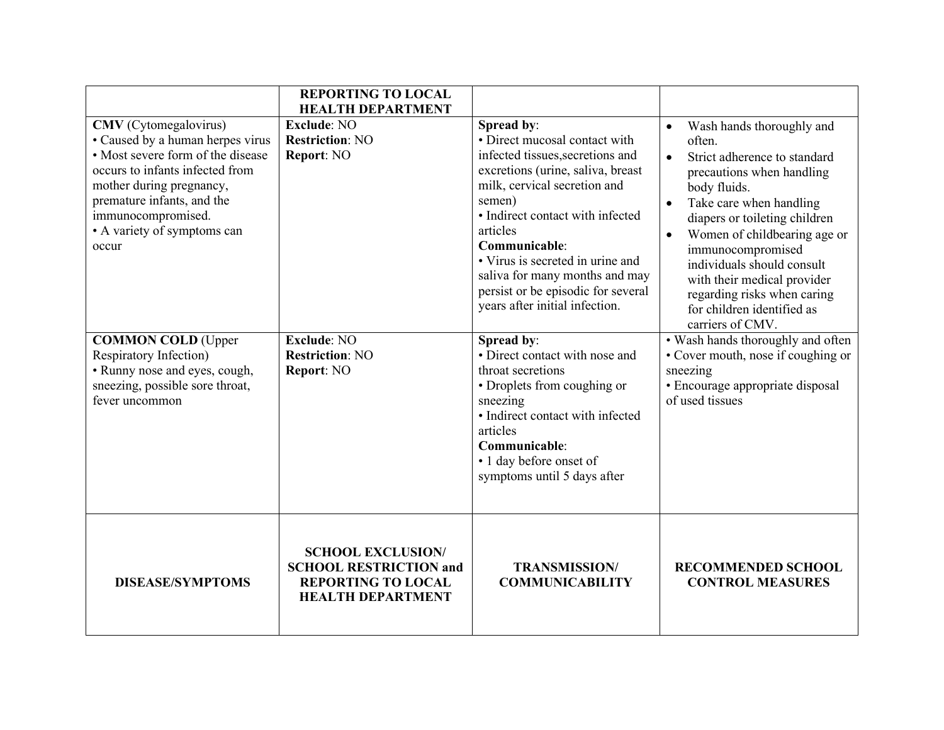|                                                                                                                                                                                                                                                                  | <b>REPORTING TO LOCAL</b><br><b>HEALTH DEPARTMENT</b>                                                              |                                                                                                                                                                                                                                                                                                                                                                               |                                                                                                                                                                                                                                                                                                                                                                                                                                     |
|------------------------------------------------------------------------------------------------------------------------------------------------------------------------------------------------------------------------------------------------------------------|--------------------------------------------------------------------------------------------------------------------|-------------------------------------------------------------------------------------------------------------------------------------------------------------------------------------------------------------------------------------------------------------------------------------------------------------------------------------------------------------------------------|-------------------------------------------------------------------------------------------------------------------------------------------------------------------------------------------------------------------------------------------------------------------------------------------------------------------------------------------------------------------------------------------------------------------------------------|
| <b>CMV</b> (Cytomegalovirus)<br>• Caused by a human herpes virus<br>• Most severe form of the disease<br>occurs to infants infected from<br>mother during pregnancy,<br>premature infants, and the<br>immunocompromised.<br>• A variety of symptoms can<br>occur | <b>Exclude: NO</b><br><b>Restriction: NO</b><br>Report: NO                                                         | Spread by:<br>• Direct mucosal contact with<br>infected tissues, secretions and<br>excretions (urine, saliva, breast<br>milk, cervical secretion and<br>semen)<br>· Indirect contact with infected<br>articles<br>Communicable:<br>• Virus is secreted in urine and<br>saliva for many months and may<br>persist or be episodic for several<br>years after initial infection. | Wash hands thoroughly and<br>$\bullet$<br>often.<br>Strict adherence to standard<br>$\bullet$<br>precautions when handling<br>body fluids.<br>Take care when handling<br>$\bullet$<br>diapers or toileting children<br>Women of childbearing age or<br>$\bullet$<br>immunocompromised<br>individuals should consult<br>with their medical provider<br>regarding risks when caring<br>for children identified as<br>carriers of CMV. |
| <b>COMMON COLD (Upper</b><br>Respiratory Infection)<br>• Runny nose and eyes, cough,<br>sneezing, possible sore throat,<br>fever uncommon                                                                                                                        | <b>Exclude: NO</b><br><b>Restriction: NO</b><br>Report: NO                                                         | Spread by:<br>• Direct contact with nose and<br>throat secretions<br>• Droplets from coughing or<br>sneezing<br>• Indirect contact with infected<br>articles<br>Communicable:<br>• 1 day before onset of<br>symptoms until 5 days after                                                                                                                                       | • Wash hands thoroughly and often<br>• Cover mouth, nose if coughing or<br>sneezing<br>· Encourage appropriate disposal<br>of used tissues                                                                                                                                                                                                                                                                                          |
| <b>DISEASE/SYMPTOMS</b>                                                                                                                                                                                                                                          | <b>SCHOOL EXCLUSION/</b><br><b>SCHOOL RESTRICTION and</b><br><b>REPORTING TO LOCAL</b><br><b>HEALTH DEPARTMENT</b> | <b>TRANSMISSION/</b><br><b>COMMUNICABILITY</b>                                                                                                                                                                                                                                                                                                                                | <b>RECOMMENDED SCHOOL</b><br><b>CONTROL MEASURES</b>                                                                                                                                                                                                                                                                                                                                                                                |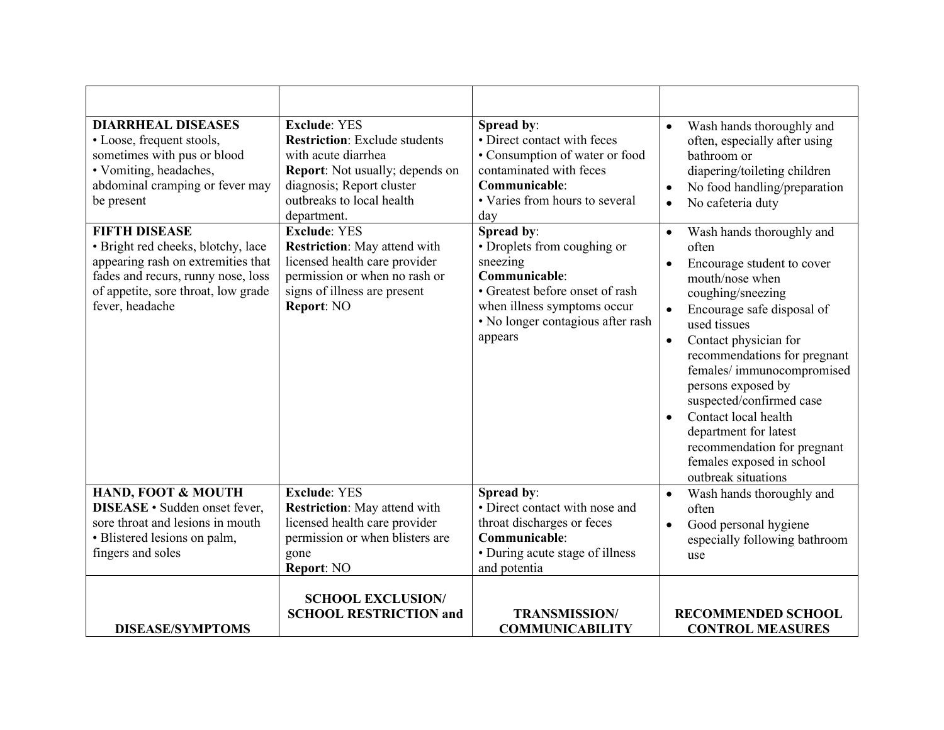| <b>DIARRHEAL DISEASES</b><br>• Loose, frequent stools,<br>sometimes with pus or blood<br>• Vomiting, headaches,<br>abdominal cramping or fever may<br>be present<br><b>FIFTH DISEASE</b><br>· Bright red cheeks, blotchy, lace<br>appearing rash on extremities that<br>fades and recurs, runny nose, loss<br>of appetite, sore throat, low grade<br>fever, headache | <b>Exclude: YES</b><br><b>Restriction:</b> Exclude students<br>with acute diarrhea<br><b>Report:</b> Not usually; depends on<br>diagnosis; Report cluster<br>outbreaks to local health<br>department.<br><b>Exclude: YES</b><br><b>Restriction:</b> May attend with<br>licensed health care provider<br>permission or when no rash or<br>signs of illness are present<br>Report: NO | Spread by:<br>• Direct contact with feces<br>• Consumption of water or food<br>contaminated with feces<br>Communicable:<br>• Varies from hours to several<br>day<br>Spread by:<br>• Droplets from coughing or<br>sneezing<br>Communicable:<br>• Greatest before onset of rash<br>when illness symptoms occur<br>• No longer contagious after rash<br>appears | Wash hands thoroughly and<br>$\bullet$<br>often, especially after using<br>bathroom or<br>diapering/toileting children<br>No food handling/preparation<br>$\bullet$<br>No cafeteria duty<br>$\bullet$<br>Wash hands thoroughly and<br>$\bullet$<br>often<br>Encourage student to cover<br>$\bullet$<br>mouth/nose when<br>coughing/sneezing<br>Encourage safe disposal of<br>$\bullet$<br>used tissues<br>Contact physician for<br>$\bullet$<br>recommendations for pregnant<br>females/immunocompromised<br>persons exposed by<br>suspected/confirmed case<br>Contact local health<br>$\bullet$<br>department for latest<br>recommendation for pregnant<br>females exposed in school |
|----------------------------------------------------------------------------------------------------------------------------------------------------------------------------------------------------------------------------------------------------------------------------------------------------------------------------------------------------------------------|-------------------------------------------------------------------------------------------------------------------------------------------------------------------------------------------------------------------------------------------------------------------------------------------------------------------------------------------------------------------------------------|--------------------------------------------------------------------------------------------------------------------------------------------------------------------------------------------------------------------------------------------------------------------------------------------------------------------------------------------------------------|---------------------------------------------------------------------------------------------------------------------------------------------------------------------------------------------------------------------------------------------------------------------------------------------------------------------------------------------------------------------------------------------------------------------------------------------------------------------------------------------------------------------------------------------------------------------------------------------------------------------------------------------------------------------------------------|
| HAND, FOOT & MOUTH<br><b>DISEASE</b> · Sudden onset fever,<br>sore throat and lesions in mouth<br>· Blistered lesions on palm,<br>fingers and soles                                                                                                                                                                                                                  | <b>Exclude: YES</b><br><b>Restriction:</b> May attend with<br>licensed health care provider<br>permission or when blisters are<br>gone<br>Report: NO                                                                                                                                                                                                                                | Spread by:<br>· Direct contact with nose and<br>throat discharges or feces<br>Communicable:<br>• During acute stage of illness<br>and potentia                                                                                                                                                                                                               | outbreak situations<br>Wash hands thoroughly and<br>$\bullet$<br>often<br>Good personal hygiene<br>$\bullet$<br>especially following bathroom<br>use                                                                                                                                                                                                                                                                                                                                                                                                                                                                                                                                  |
| <b>DISEASE/SYMPTOMS</b>                                                                                                                                                                                                                                                                                                                                              | <b>SCHOOL EXCLUSION/</b><br><b>SCHOOL RESTRICTION and</b>                                                                                                                                                                                                                                                                                                                           | <b>TRANSMISSION/</b><br><b>COMMUNICABILITY</b>                                                                                                                                                                                                                                                                                                               | <b>RECOMMENDED SCHOOL</b><br><b>CONTROL MEASURES</b>                                                                                                                                                                                                                                                                                                                                                                                                                                                                                                                                                                                                                                  |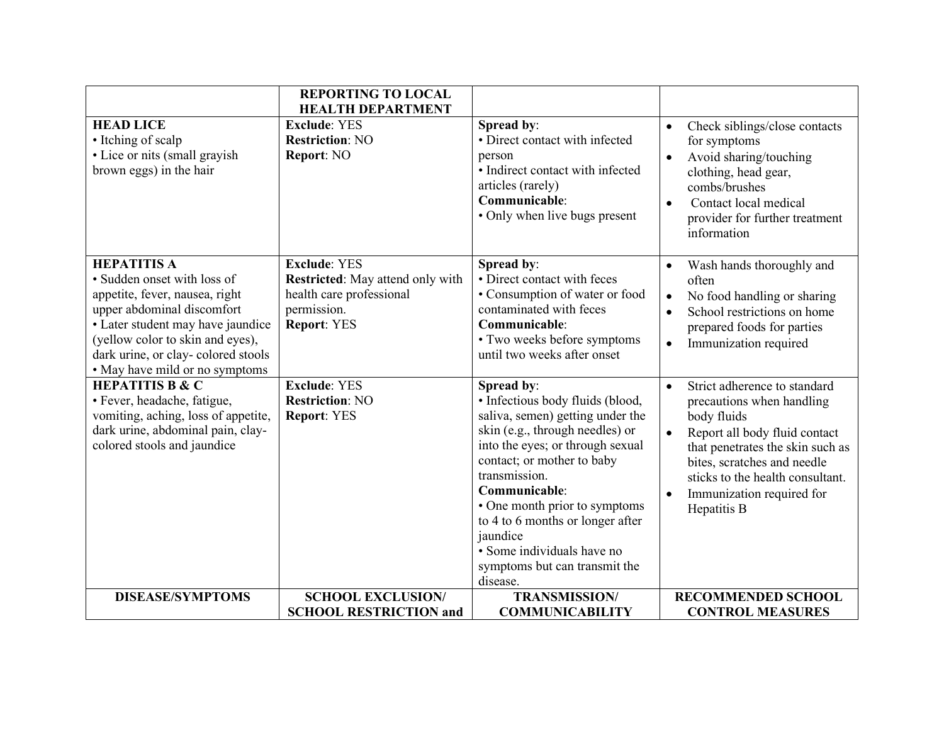|                                                                                                                                                                                                                                                                    | <b>REPORTING TO LOCAL</b><br><b>HEALTH DEPARTMENT</b>                                                                    |                                                                                                                                                                                                                                                                                                                                                                                       |                                                                                                                                                                                                                                                                                                     |
|--------------------------------------------------------------------------------------------------------------------------------------------------------------------------------------------------------------------------------------------------------------------|--------------------------------------------------------------------------------------------------------------------------|---------------------------------------------------------------------------------------------------------------------------------------------------------------------------------------------------------------------------------------------------------------------------------------------------------------------------------------------------------------------------------------|-----------------------------------------------------------------------------------------------------------------------------------------------------------------------------------------------------------------------------------------------------------------------------------------------------|
| <b>HEAD LICE</b><br>• Itching of scalp<br>• Lice or nits (small grayish<br>brown eggs) in the hair                                                                                                                                                                 | <b>Exclude: YES</b><br><b>Restriction: NO</b><br>Report: NO                                                              | Spread by:<br>• Direct contact with infected<br>person<br>· Indirect contact with infected<br>articles (rarely)<br>Communicable:<br>• Only when live bugs present                                                                                                                                                                                                                     | Check siblings/close contacts<br>$\bullet$<br>for symptoms<br>Avoid sharing/touching<br>$\bullet$<br>clothing, head gear,<br>combs/brushes<br>Contact local medical<br>$\bullet$<br>provider for further treatment<br>information                                                                   |
| <b>HEPATITIS A</b><br>· Sudden onset with loss of<br>appetite, fever, nausea, right<br>upper abdominal discomfort<br>· Later student may have jaundice<br>(yellow color to skin and eyes),<br>dark urine, or clay-colored stools<br>• May have mild or no symptoms | <b>Exclude: YES</b><br>Restricted: May attend only with<br>health care professional<br>permission.<br><b>Report: YES</b> | Spread by:<br>• Direct contact with feces<br>• Consumption of water or food<br>contaminated with feces<br>Communicable:<br>· Two weeks before symptoms<br>until two weeks after onset                                                                                                                                                                                                 | Wash hands thoroughly and<br>$\bullet$<br>often<br>No food handling or sharing<br>$\bullet$<br>School restrictions on home<br>$\bullet$<br>prepared foods for parties<br>Immunization required<br>$\bullet$                                                                                         |
| <b>HEPATITIS B &amp; C</b><br>· Fever, headache, fatigue,<br>vomiting, aching, loss of appetite,<br>dark urine, abdominal pain, clay-<br>colored stools and jaundice                                                                                               | <b>Exclude: YES</b><br><b>Restriction: NO</b><br><b>Report: YES</b>                                                      | Spread by:<br>· Infectious body fluids (blood,<br>saliva, semen) getting under the<br>skin (e.g., through needles) or<br>into the eyes; or through sexual<br>contact; or mother to baby<br>transmission.<br>Communicable:<br>• One month prior to symptoms<br>to 4 to 6 months or longer after<br>jaundice<br>• Some individuals have no<br>symptoms but can transmit the<br>disease. | Strict adherence to standard<br>$\bullet$<br>precautions when handling<br>body fluids<br>Report all body fluid contact<br>$\bullet$<br>that penetrates the skin such as<br>bites, scratches and needle<br>sticks to the health consultant.<br>Immunization required for<br>$\bullet$<br>Hepatitis B |
| <b>DISEASE/SYMPTOMS</b>                                                                                                                                                                                                                                            | <b>SCHOOL EXCLUSION/</b><br><b>SCHOOL RESTRICTION and</b>                                                                | <b>TRANSMISSION/</b><br><b>COMMUNICABILITY</b>                                                                                                                                                                                                                                                                                                                                        | <b>RECOMMENDED SCHOOL</b><br><b>CONTROL MEASURES</b>                                                                                                                                                                                                                                                |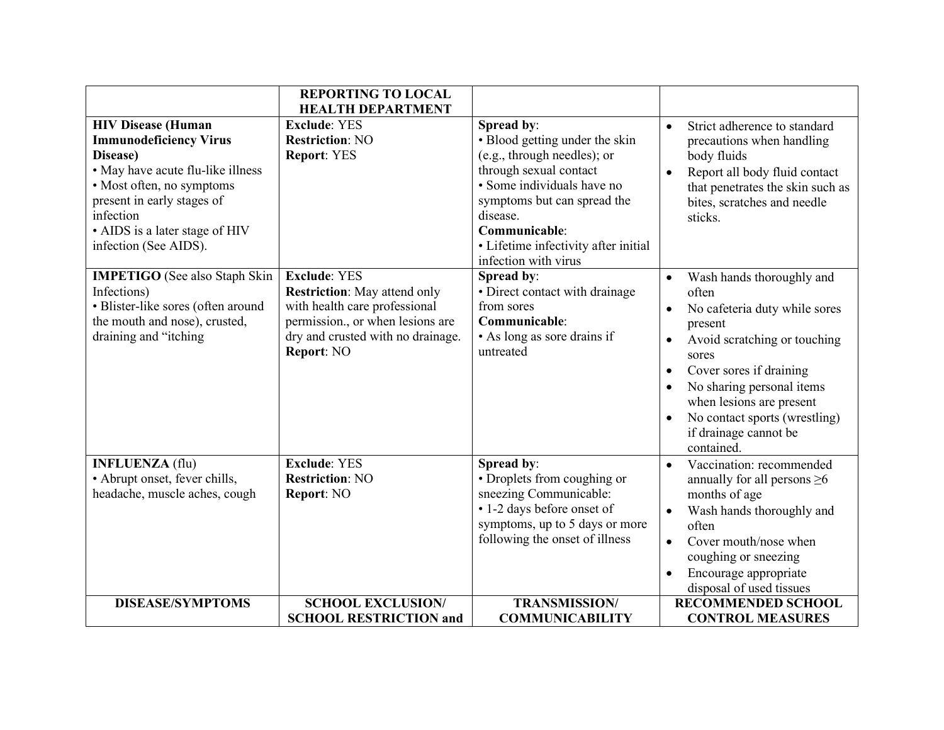|                                                                                                                                                                                  | <b>REPORTING TO LOCAL</b>                                                                                                                                                          |                                                                                                                                                                                                                 |                                                                                                                                                                                                                                                                                                                                                                   |
|----------------------------------------------------------------------------------------------------------------------------------------------------------------------------------|------------------------------------------------------------------------------------------------------------------------------------------------------------------------------------|-----------------------------------------------------------------------------------------------------------------------------------------------------------------------------------------------------------------|-------------------------------------------------------------------------------------------------------------------------------------------------------------------------------------------------------------------------------------------------------------------------------------------------------------------------------------------------------------------|
|                                                                                                                                                                                  | <b>HEALTH DEPARTMENT</b>                                                                                                                                                           |                                                                                                                                                                                                                 |                                                                                                                                                                                                                                                                                                                                                                   |
| <b>HIV Disease (Human</b>                                                                                                                                                        | <b>Exclude: YES</b>                                                                                                                                                                | Spread by:                                                                                                                                                                                                      | Strict adherence to standard<br>$\bullet$                                                                                                                                                                                                                                                                                                                         |
| <b>Immunodeficiency Virus</b>                                                                                                                                                    | <b>Restriction: NO</b>                                                                                                                                                             | · Blood getting under the skin                                                                                                                                                                                  | precautions when handling                                                                                                                                                                                                                                                                                                                                         |
| Disease)<br>• May have acute flu-like illness<br>• Most often, no symptoms<br>present in early stages of<br>infection<br>• AIDS is a later stage of HIV<br>infection (See AIDS). | <b>Report: YES</b>                                                                                                                                                                 | (e.g., through needles); or<br>through sexual contact<br>• Some individuals have no<br>symptoms but can spread the<br>disease.<br>Communicable:<br>• Lifetime infectivity after initial<br>infection with virus | body fluids<br>Report all body fluid contact<br>$\bullet$<br>that penetrates the skin such as<br>bites, scratches and needle<br>sticks.                                                                                                                                                                                                                           |
| <b>IMPETIGO</b> (See also Staph Skin<br>Infections)<br>· Blister-like sores (often around<br>the mouth and nose), crusted,<br>draining and "itching                              | <b>Exclude: YES</b><br><b>Restriction:</b> May attend only<br>with health care professional<br>permission., or when lesions are<br>dry and crusted with no drainage.<br>Report: NO | Spread by:<br>· Direct contact with drainage<br>from sores<br>Communicable:<br>• As long as sore drains if<br>untreated                                                                                         | Wash hands thoroughly and<br>$\bullet$<br>often<br>No cafeteria duty while sores<br>$\bullet$<br>present<br>Avoid scratching or touching<br>$\bullet$<br>sores<br>Cover sores if draining<br>$\bullet$<br>No sharing personal items<br>$\bullet$<br>when lesions are present<br>No contact sports (wrestling)<br>$\bullet$<br>if drainage cannot be<br>contained. |
| <b>INFLUENZA</b> (flu)<br>• Abrupt onset, fever chills,<br>headache, muscle aches, cough                                                                                         | <b>Exclude: YES</b><br><b>Restriction: NO</b><br>Report: NO                                                                                                                        | Spread by:<br>• Droplets from coughing or<br>sneezing Communicable:<br>• 1-2 days before onset of<br>symptoms, up to 5 days or more<br>following the onset of illness                                           | Vaccination: recommended<br>$\bullet$<br>annually for all persons $\geq 6$<br>months of age<br>Wash hands thoroughly and<br>$\bullet$<br>often<br>Cover mouth/nose when<br>$\bullet$<br>coughing or sneezing<br>Encourage appropriate<br>$\bullet$<br>disposal of used tissues                                                                                    |
| <b>DISEASE/SYMPTOMS</b>                                                                                                                                                          | <b>SCHOOL EXCLUSION/</b>                                                                                                                                                           | <b>TRANSMISSION/</b>                                                                                                                                                                                            | <b>RECOMMENDED SCHOOL</b>                                                                                                                                                                                                                                                                                                                                         |
|                                                                                                                                                                                  | <b>SCHOOL RESTRICTION and</b>                                                                                                                                                      | <b>COMMUNICABILITY</b>                                                                                                                                                                                          | <b>CONTROL MEASURES</b>                                                                                                                                                                                                                                                                                                                                           |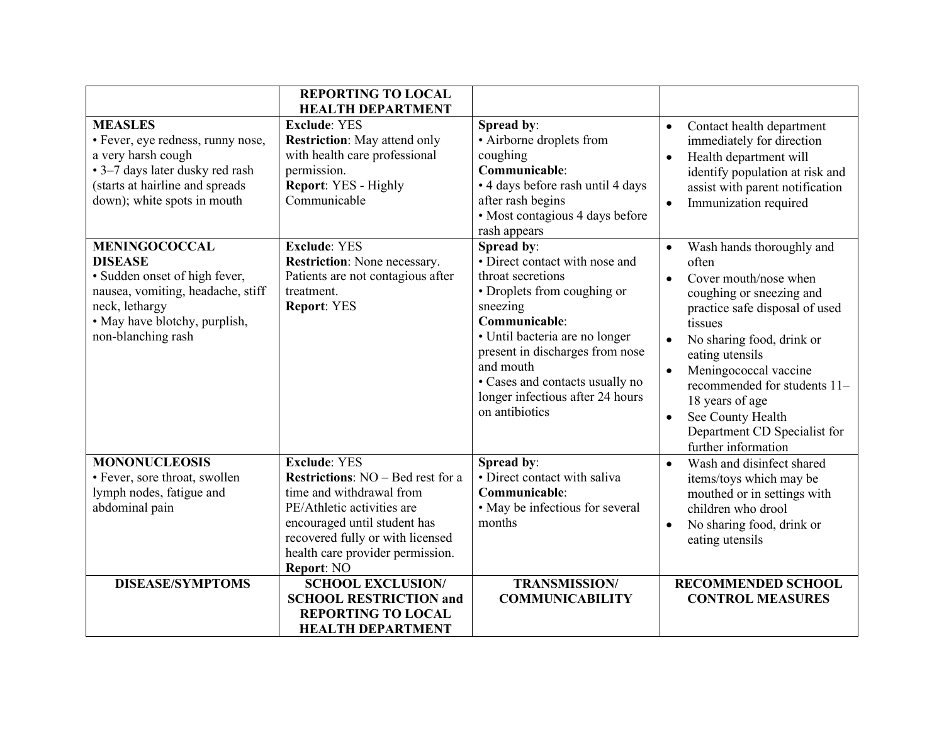|                                                                                                                                                                                       | <b>REPORTING TO LOCAL</b><br><b>HEALTH DEPARTMENT</b>                                                                                                                                                                                                                       |                                                                                                                                                                                                                                                                                                          |                                                                                                                                                                                                                                                                                                                                                                                                  |
|---------------------------------------------------------------------------------------------------------------------------------------------------------------------------------------|-----------------------------------------------------------------------------------------------------------------------------------------------------------------------------------------------------------------------------------------------------------------------------|----------------------------------------------------------------------------------------------------------------------------------------------------------------------------------------------------------------------------------------------------------------------------------------------------------|--------------------------------------------------------------------------------------------------------------------------------------------------------------------------------------------------------------------------------------------------------------------------------------------------------------------------------------------------------------------------------------------------|
| <b>MEASLES</b><br>• Fever, eye redness, runny nose,<br>a very harsh cough<br>· 3-7 days later dusky red rash<br>(starts at hairline and spreads<br>down); white spots in mouth        | <b>Exclude: YES</b><br><b>Restriction:</b> May attend only<br>with health care professional<br>permission.<br>Report: YES - Highly<br>Communicable                                                                                                                          | Spread by:<br>• Airborne droplets from<br>coughing<br>Communicable:<br>• 4 days before rash until 4 days<br>after rash begins<br>• Most contagious 4 days before<br>rash appears                                                                                                                         | Contact health department<br>$\bullet$<br>immediately for direction<br>Health department will<br>$\bullet$<br>identify population at risk and<br>assist with parent notification<br>Immunization required<br>$\bullet$                                                                                                                                                                           |
| <b>MENINGOCOCCAL</b><br><b>DISEASE</b><br>· Sudden onset of high fever,<br>nausea, vomiting, headache, stiff<br>neck, lethargy<br>• May have blotchy, purplish,<br>non-blanching rash | <b>Exclude: YES</b><br>Restriction: None necessary.<br>Patients are not contagious after<br>treatment.<br><b>Report: YES</b>                                                                                                                                                | Spread by:<br>• Direct contact with nose and<br>throat secretions<br>• Droplets from coughing or<br>sneezing<br>Communicable:<br>· Until bacteria are no longer<br>present in discharges from nose<br>and mouth<br>• Cases and contacts usually no<br>longer infectious after 24 hours<br>on antibiotics | Wash hands thoroughly and<br>often<br>Cover mouth/nose when<br>$\bullet$<br>coughing or sneezing and<br>practice safe disposal of used<br>tissues<br>No sharing food, drink or<br>$\bullet$<br>eating utensils<br>Meningococcal vaccine<br>$\bullet$<br>recommended for students 11-<br>18 years of age<br>See County Health<br>$\bullet$<br>Department CD Specialist for<br>further information |
| <b>MONONUCLEOSIS</b><br>· Fever, sore throat, swollen<br>lymph nodes, fatigue and<br>abdominal pain<br><b>DISEASE/SYMPTOMS</b>                                                        | <b>Exclude: YES</b><br><b>Restrictions:</b> NO – Bed rest for a<br>time and withdrawal from<br>PE/Athletic activities are<br>encouraged until student has<br>recovered fully or with licensed<br>health care provider permission.<br>Report: NO<br><b>SCHOOL EXCLUSION/</b> | Spread by:<br>• Direct contact with saliva<br>Communicable:<br>• May be infectious for several<br>months<br><b>TRANSMISSION/</b>                                                                                                                                                                         | Wash and disinfect shared<br>$\bullet$<br>items/toys which may be<br>mouthed or in settings with<br>children who drool<br>No sharing food, drink or<br>$\bullet$<br>eating utensils<br><b>RECOMMENDED SCHOOL</b>                                                                                                                                                                                 |
|                                                                                                                                                                                       | <b>SCHOOL RESTRICTION and</b><br><b>REPORTING TO LOCAL</b><br><b>HEALTH DEPARTMENT</b>                                                                                                                                                                                      | <b>COMMUNICABILITY</b>                                                                                                                                                                                                                                                                                   | <b>CONTROL MEASURES</b>                                                                                                                                                                                                                                                                                                                                                                          |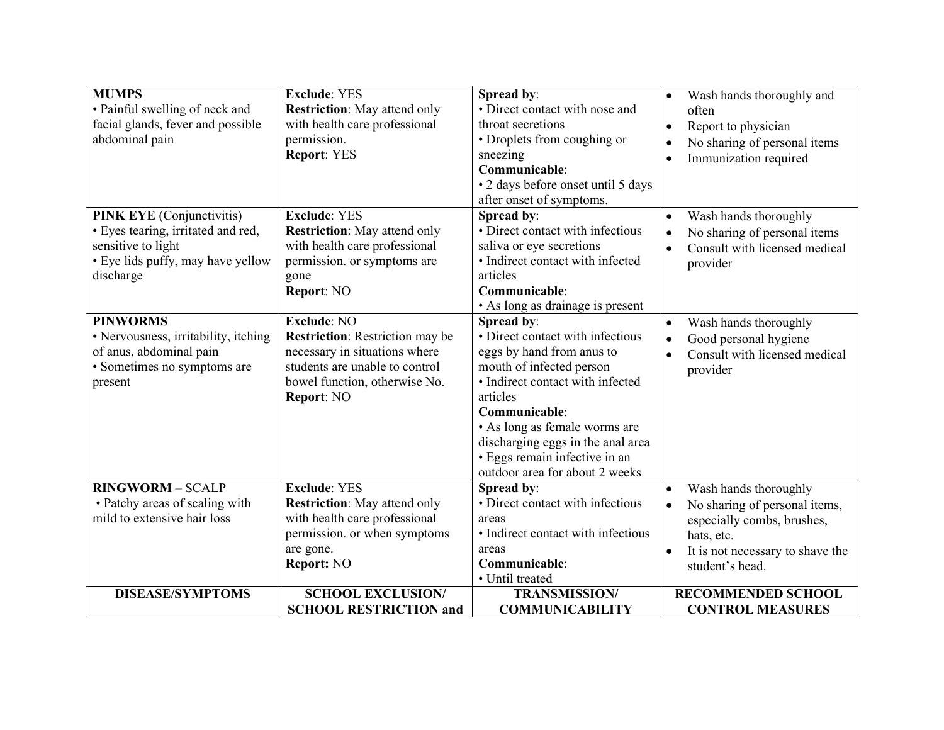| <b>MUMPS</b><br>· Painful swelling of neck and<br>facial glands, fever and possible<br>abdominal pain                                          | <b>Exclude: YES</b><br><b>Restriction:</b> May attend only<br>with health care professional<br>permission.<br><b>Report: YES</b>                                               | Spread by:<br>• Direct contact with nose and<br>throat secretions<br>• Droplets from coughing or<br>sneezing<br>Communicable:<br>• 2 days before onset until 5 days<br>after onset of symptoms.                                                                                                                   | Wash hands thoroughly and<br>$\bullet$<br>often<br>Report to physician<br>$\bullet$<br>No sharing of personal items<br>$\bullet$<br>Immunization required<br>$\bullet$                           |
|------------------------------------------------------------------------------------------------------------------------------------------------|--------------------------------------------------------------------------------------------------------------------------------------------------------------------------------|-------------------------------------------------------------------------------------------------------------------------------------------------------------------------------------------------------------------------------------------------------------------------------------------------------------------|--------------------------------------------------------------------------------------------------------------------------------------------------------------------------------------------------|
| <b>PINK EYE</b> (Conjunctivitis)<br>· Eyes tearing, irritated and red,<br>sensitive to light<br>• Eye lids puffy, may have yellow<br>discharge | <b>Exclude: YES</b><br><b>Restriction:</b> May attend only<br>with health care professional<br>permission. or symptoms are<br>gone<br>Report: NO                               | Spread by:<br>· Direct contact with infectious<br>saliva or eye secretions<br>• Indirect contact with infected<br>articles<br>Communicable:<br>• As long as drainage is present                                                                                                                                   | Wash hands thoroughly<br>$\bullet$<br>No sharing of personal items<br>$\bullet$<br>Consult with licensed medical<br>$\bullet$<br>provider                                                        |
| <b>PINWORMS</b><br>· Nervousness, irritability, itching<br>of anus, abdominal pain<br>• Sometimes no symptoms are<br>present                   | <b>Exclude: NO</b><br><b>Restriction:</b> Restriction may be<br>necessary in situations where<br>students are unable to control<br>bowel function, otherwise No.<br>Report: NO | Spread by:<br>• Direct contact with infectious<br>eggs by hand from anus to<br>mouth of infected person<br>• Indirect contact with infected<br>articles<br>Communicable:<br>· As long as female worms are<br>discharging eggs in the anal area<br>· Eggs remain infective in an<br>outdoor area for about 2 weeks | Wash hands thoroughly<br>$\bullet$<br>Good personal hygiene<br>$\bullet$<br>Consult with licensed medical<br>$\bullet$<br>provider                                                               |
| <b>RINGWORM - SCALP</b><br>• Patchy areas of scaling with<br>mild to extensive hair loss                                                       | <b>Exclude: YES</b><br><b>Restriction:</b> May attend only<br>with health care professional<br>permission. or when symptoms<br>are gone.<br>Report: NO                         | Spread by:<br>• Direct contact with infectious<br>areas<br>• Indirect contact with infectious<br>areas<br>Communicable:<br>· Until treated                                                                                                                                                                        | Wash hands thoroughly<br>$\bullet$<br>No sharing of personal items,<br>$\bullet$<br>especially combs, brushes,<br>hats, etc.<br>It is not necessary to shave the<br>$\bullet$<br>student's head. |
| <b>DISEASE/SYMPTOMS</b>                                                                                                                        | <b>SCHOOL EXCLUSION/</b><br><b>SCHOOL RESTRICTION and</b>                                                                                                                      | <b>TRANSMISSION/</b><br><b>COMMUNICABILITY</b>                                                                                                                                                                                                                                                                    | <b>RECOMMENDED SCHOOL</b><br><b>CONTROL MEASURES</b>                                                                                                                                             |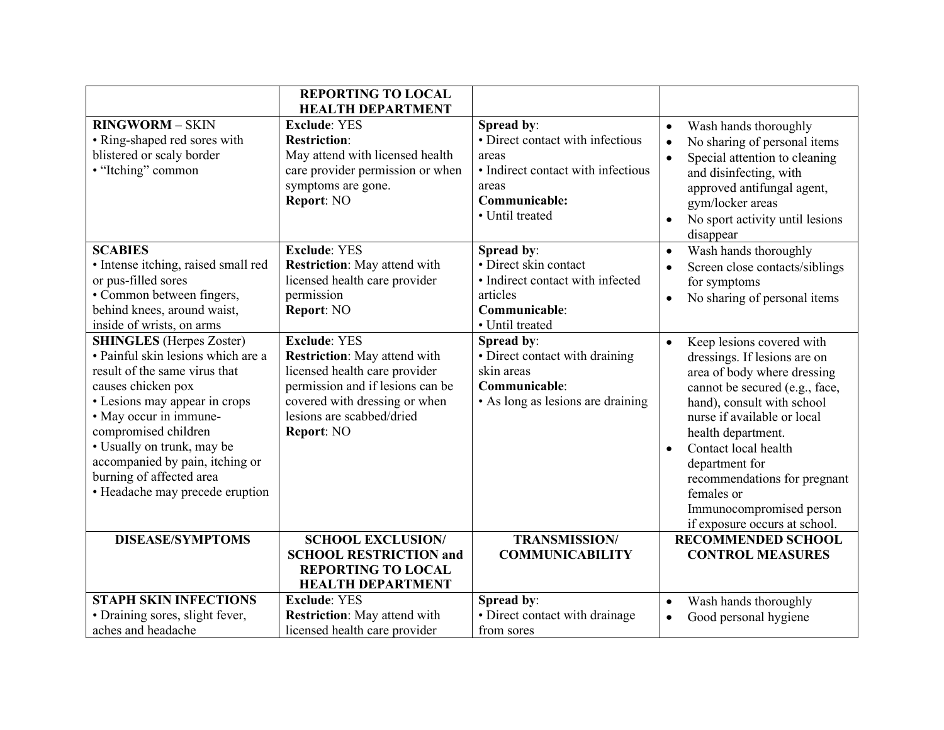|                                                                                                                                                                                                                                                                                                                                                 | <b>REPORTING TO LOCAL</b><br><b>HEALTH DEPARTMENT</b>                                                                                                                                                       |                                                                                                                                            |                                                                                                                                                                                                                                                                                                                                                                                              |
|-------------------------------------------------------------------------------------------------------------------------------------------------------------------------------------------------------------------------------------------------------------------------------------------------------------------------------------------------|-------------------------------------------------------------------------------------------------------------------------------------------------------------------------------------------------------------|--------------------------------------------------------------------------------------------------------------------------------------------|----------------------------------------------------------------------------------------------------------------------------------------------------------------------------------------------------------------------------------------------------------------------------------------------------------------------------------------------------------------------------------------------|
| <b>RINGWORM - SKIN</b><br>• Ring-shaped red sores with<br>blistered or scaly border<br>· "Itching" common                                                                                                                                                                                                                                       | <b>Exclude: YES</b><br><b>Restriction:</b><br>May attend with licensed health<br>care provider permission or when<br>symptoms are gone.<br>Report: NO                                                       | Spread by:<br>• Direct contact with infectious<br>areas<br>· Indirect contact with infectious<br>areas<br>Communicable:<br>• Until treated | Wash hands thoroughly<br>$\bullet$<br>No sharing of personal items<br>$\bullet$<br>Special attention to cleaning<br>$\bullet$<br>and disinfecting, with<br>approved antifungal agent,<br>gym/locker areas<br>No sport activity until lesions<br>$\bullet$<br>disappear                                                                                                                       |
| <b>SCABIES</b><br>· Intense itching, raised small red<br>or pus-filled sores<br>• Common between fingers,<br>behind knees, around waist,<br>inside of wrists, on arms                                                                                                                                                                           | <b>Exclude: YES</b><br><b>Restriction:</b> May attend with<br>licensed health care provider<br>permission<br>Report: NO                                                                                     | Spread by:<br>· Direct skin contact<br>• Indirect contact with infected<br>articles<br>Communicable:<br>· Until treated                    | Wash hands thoroughly<br>$\bullet$<br>Screen close contacts/siblings<br>$\bullet$<br>for symptoms<br>No sharing of personal items<br>$\bullet$                                                                                                                                                                                                                                               |
| <b>SHINGLES</b> (Herpes Zoster)<br>· Painful skin lesions which are a<br>result of the same virus that<br>causes chicken pox<br>• Lesions may appear in crops<br>• May occur in immune-<br>compromised children<br>• Usually on trunk, may be<br>accompanied by pain, itching or<br>burning of affected area<br>• Headache may precede eruption | <b>Exclude: YES</b><br><b>Restriction:</b> May attend with<br>licensed health care provider<br>permission and if lesions can be<br>covered with dressing or when<br>lesions are scabbed/dried<br>Report: NO | Spread by:<br>· Direct contact with draining<br>skin areas<br>Communicable:<br>• As long as lesions are draining                           | Keep lesions covered with<br>$\bullet$<br>dressings. If lesions are on<br>area of body where dressing<br>cannot be secured (e.g., face,<br>hand), consult with school<br>nurse if available or local<br>health department.<br>Contact local health<br>$\bullet$<br>department for<br>recommendations for pregnant<br>females or<br>Immunocompromised person<br>if exposure occurs at school. |
| <b>DISEASE/SYMPTOMS</b>                                                                                                                                                                                                                                                                                                                         | <b>SCHOOL EXCLUSION/</b><br><b>SCHOOL RESTRICTION and</b><br><b>REPORTING TO LOCAL</b><br><b>HEALTH DEPARTMENT</b>                                                                                          | <b>TRANSMISSION/</b><br><b>COMMUNICABILITY</b>                                                                                             | <b>RECOMMENDED SCHOOL</b><br><b>CONTROL MEASURES</b>                                                                                                                                                                                                                                                                                                                                         |
| <b>STAPH SKIN INFECTIONS</b><br>· Draining sores, slight fever,<br>aches and headache                                                                                                                                                                                                                                                           | <b>Exclude: YES</b><br><b>Restriction:</b> May attend with<br>licensed health care provider                                                                                                                 | Spread by:<br>• Direct contact with drainage<br>from sores                                                                                 | Wash hands thoroughly<br>$\bullet$<br>Good personal hygiene<br>$\bullet$                                                                                                                                                                                                                                                                                                                     |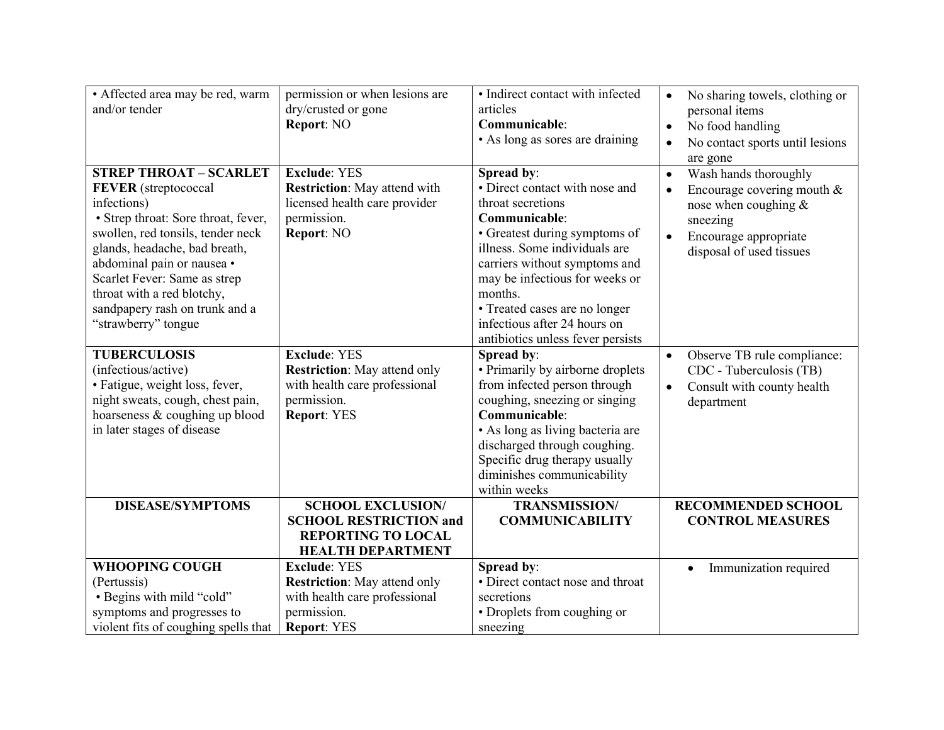| · Affected area may be red, warm<br>and/or tender                                                                                                                                                                                                                                                                                             | permission or when lesions are<br>dry/crusted or gone<br>Report: NO                                                              | • Indirect contact with infected<br>articles<br>Communicable:<br>• As long as sores are draining                                                                                                                                                                                                                                         | No sharing towels, clothing or<br>$\bullet$<br>personal items<br>No food handling<br>$\bullet$<br>No contact sports until lesions<br>$\bullet$<br>are gone                            |
|-----------------------------------------------------------------------------------------------------------------------------------------------------------------------------------------------------------------------------------------------------------------------------------------------------------------------------------------------|----------------------------------------------------------------------------------------------------------------------------------|------------------------------------------------------------------------------------------------------------------------------------------------------------------------------------------------------------------------------------------------------------------------------------------------------------------------------------------|---------------------------------------------------------------------------------------------------------------------------------------------------------------------------------------|
| <b>STREP THROAT - SCARLET</b><br><b>FEVER</b> (streptococcal<br>infections)<br>• Strep throat: Sore throat, fever,<br>swollen, red tonsils, tender neck<br>glands, headache, bad breath,<br>abdominal pain or nausea ·<br>Scarlet Fever: Same as strep<br>throat with a red blotchy,<br>sandpapery rash on trunk and a<br>"strawberry" tongue | <b>Exclude: YES</b><br><b>Restriction:</b> May attend with<br>licensed health care provider<br>permission.<br>Report: NO         | Spread by:<br>• Direct contact with nose and<br>throat secretions<br>Communicable:<br>• Greatest during symptoms of<br>illness. Some individuals are<br>carriers without symptoms and<br>may be infectious for weeks or<br>months.<br>· Treated cases are no longer<br>infectious after 24 hours on<br>antibiotics unless fever persists | Wash hands thoroughly<br>$\bullet$<br>Encourage covering mouth $&$<br>$\bullet$<br>nose when coughing &<br>sneezing<br>Encourage appropriate<br>$\bullet$<br>disposal of used tissues |
| <b>TUBERCULOSIS</b><br>(infectious/active)<br>• Fatigue, weight loss, fever,<br>night sweats, cough, chest pain,<br>hoarseness & coughing up blood<br>in later stages of disease                                                                                                                                                              | <b>Exclude: YES</b><br><b>Restriction:</b> May attend only<br>with health care professional<br>permission.<br><b>Report: YES</b> | Spread by:<br>• Primarily by airborne droplets<br>from infected person through<br>coughing, sneezing or singing<br>Communicable:<br>• As long as living bacteria are<br>discharged through coughing.<br>Specific drug therapy usually<br>diminishes communicability<br>within weeks                                                      | Observe TB rule compliance:<br>$\bullet$<br>CDC - Tuberculosis (TB)<br>Consult with county health<br>$\bullet$<br>department                                                          |
| <b>DISEASE/SYMPTOMS</b>                                                                                                                                                                                                                                                                                                                       | <b>SCHOOL EXCLUSION/</b><br><b>SCHOOL RESTRICTION and</b><br><b>REPORTING TO LOCAL</b><br><b>HEALTH DEPARTMENT</b>               | <b>TRANSMISSION/</b><br><b>COMMUNICABILITY</b>                                                                                                                                                                                                                                                                                           | <b>RECOMMENDED SCHOOL</b><br><b>CONTROL MEASURES</b>                                                                                                                                  |
| <b>WHOOPING COUGH</b><br>(Pertussis)<br>· Begins with mild "cold"<br>symptoms and progresses to<br>violent fits of coughing spells that                                                                                                                                                                                                       | <b>Exclude: YES</b><br><b>Restriction:</b> May attend only<br>with health care professional<br>permission.<br><b>Report: YES</b> | Spread by:<br>• Direct contact nose and throat<br>secretions<br>• Droplets from coughing or<br>sneezing                                                                                                                                                                                                                                  | Immunization required<br>$\bullet$                                                                                                                                                    |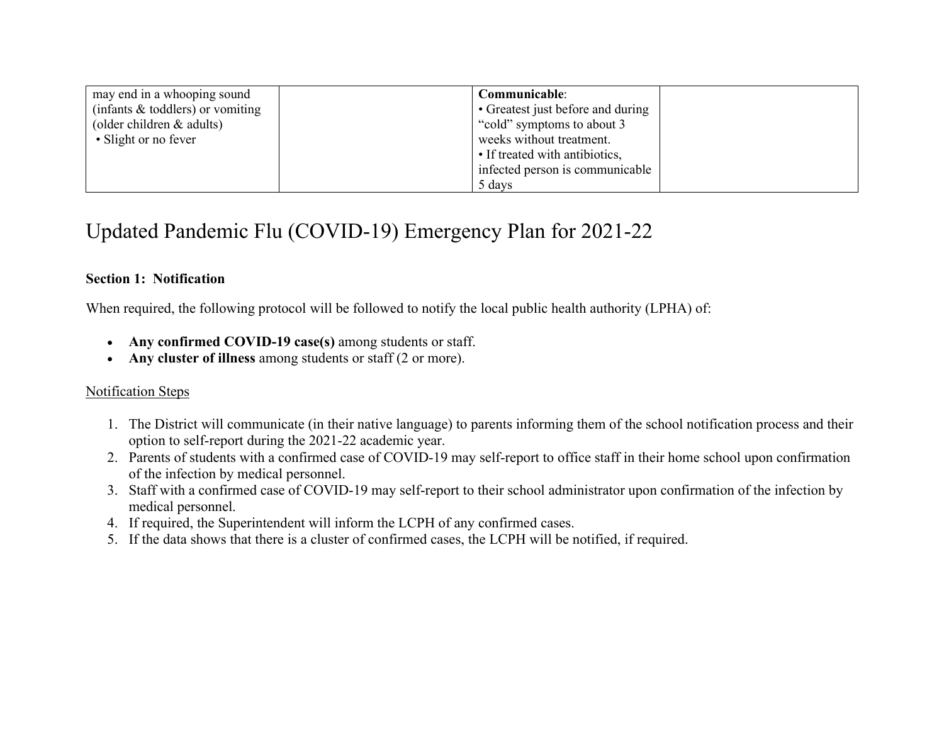| may end in a whooping sound        | Communicable:                     |  |
|------------------------------------|-----------------------------------|--|
| (infants $&$ toddlers) or vomiting | • Greatest just before and during |  |
| (older children $&$ adults)        | "cold" symptoms to about 3        |  |
| • Slight or no fever               | weeks without treatment.          |  |
|                                    | • If treated with antibiotics,    |  |
|                                    | infected person is communicable   |  |
|                                    | 5 days                            |  |

# Updated Pandemic Flu (COVID-19) Emergency Plan for 2021-22

# **Section 1: Notification**

When required, the following protocol will be followed to notify the local public health authority (LPHA) of:

- Any confirmed COVID-19 case(s) among students or staff.
- **Any cluster of illness** among students or staff (2 or more).

# Notification Steps

- 1. The District will communicate (in their native language) to parents informing them of the school notification process and their option to self-report during the 2021-22 academic year.
- 2. Parents of students with a confirmed case of COVID-19 may self-report to office staff in their home school upon confirmation of the infection by medical personnel.
- 3. Staff with a confirmed case of COVID-19 may self-report to their school administrator upon confirmation of the infection by medical personnel.
- 4. If required, the Superintendent will inform the LCPH of any confirmed cases.
- 5. If the data shows that there is a cluster of confirmed cases, the LCPH will be notified, if required.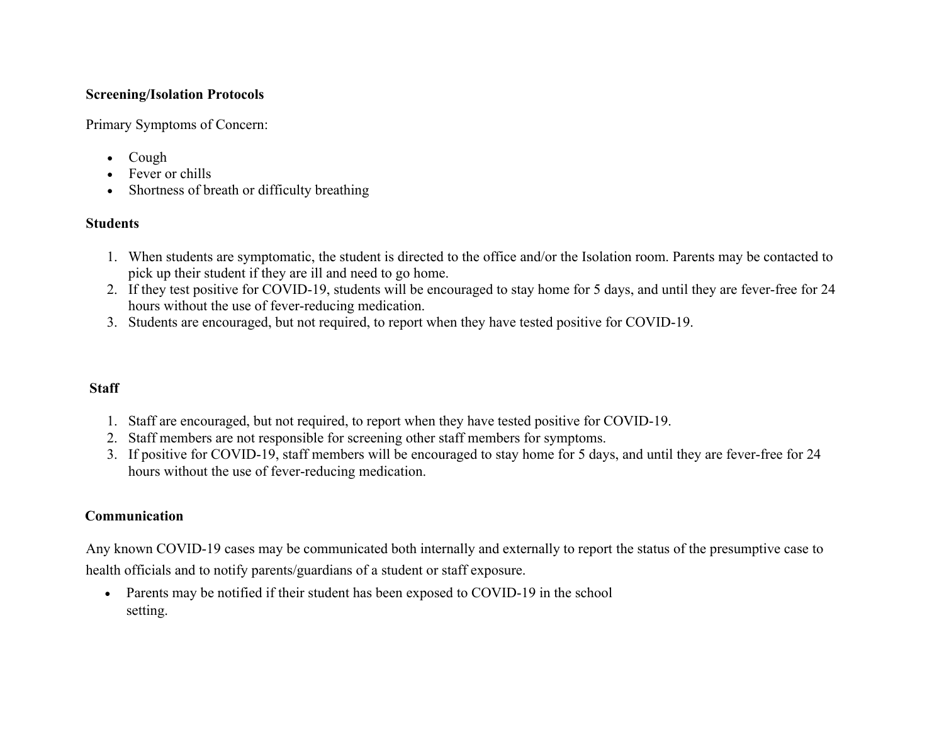# **Screening/Isolation Protocols**

Primary Symptoms of Concern:

- Cough
- Fever or chills
- Shortness of breath or difficulty breathing

# **Students**

- 1. When students are symptomatic, the student is directed to the office and/or the Isolation room. Parents may be contacted to pick up their student if they are ill and need to go home.
- 2. If they test positive for COVID-19, students will be encouraged to stay home for 5 days, and until they are fever-free for 24 hours without the use of fever-reducing medication.
- 3. Students are encouraged, but not required, to report when they have tested positive for COVID-19.

# **Staff**

- 1. Staff are encouraged, but not required, to report when they have tested positive for COVID-19.
- 2. Staff members are not responsible for screening other staff members for symptoms.
- 3. If positive for COVID-19, staff members will be encouraged to stay home for 5 days, and until they are fever-free for 24 hours without the use of fever-reducing medication.

# **Communication**

Any known COVID-19 cases may be communicated both internally and externally to report the status of the presumptive case to health officials and to notify parents/guardians of a student or staff exposure.

• Parents may be notified if their student has been exposed to COVID-19 in the school setting.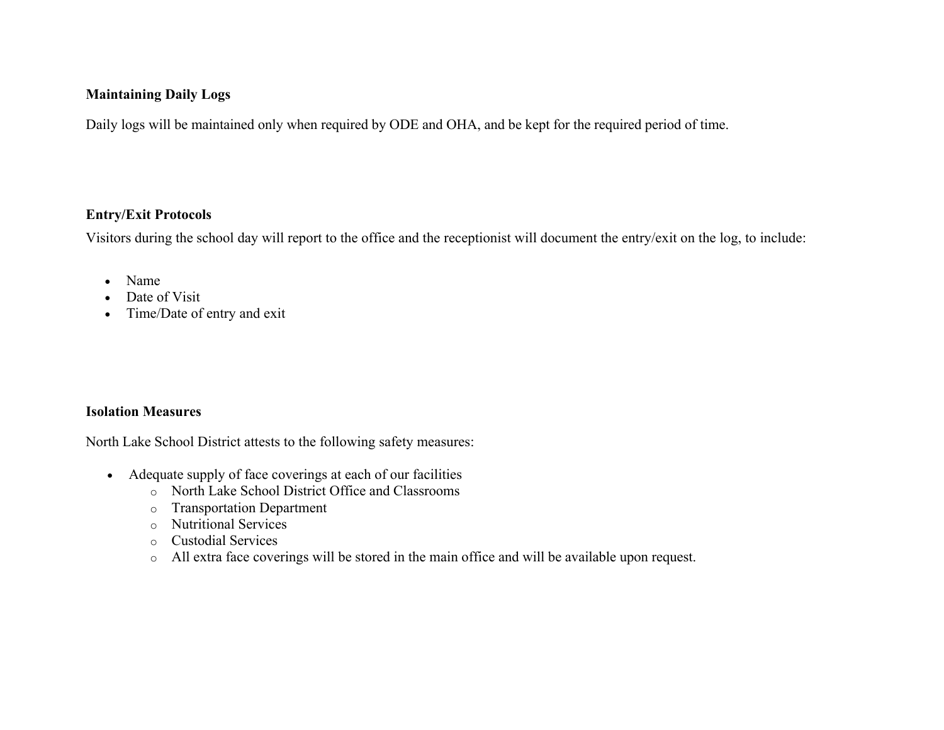## **Maintaining Daily Logs**

Daily logs will be maintained only when required by ODE and OHA, and be kept for the required period of time.

# **Entry/Exit Protocols**

Visitors during the school day will report to the office and the receptionist will document the entry/exit on the log, to include:

- Name
- Date of Visit
- Time/Date of entry and exit

# **Isolation Measures**

North Lake School District attests to the following safety measures:

- Adequate supply of face coverings at each of our facilities
	- o North Lake School District Office and Classrooms
	- o Transportation Department
	- o Nutritional Services
	- o Custodial Services
	- o All extra face coverings will be stored in the main office and will be available upon request.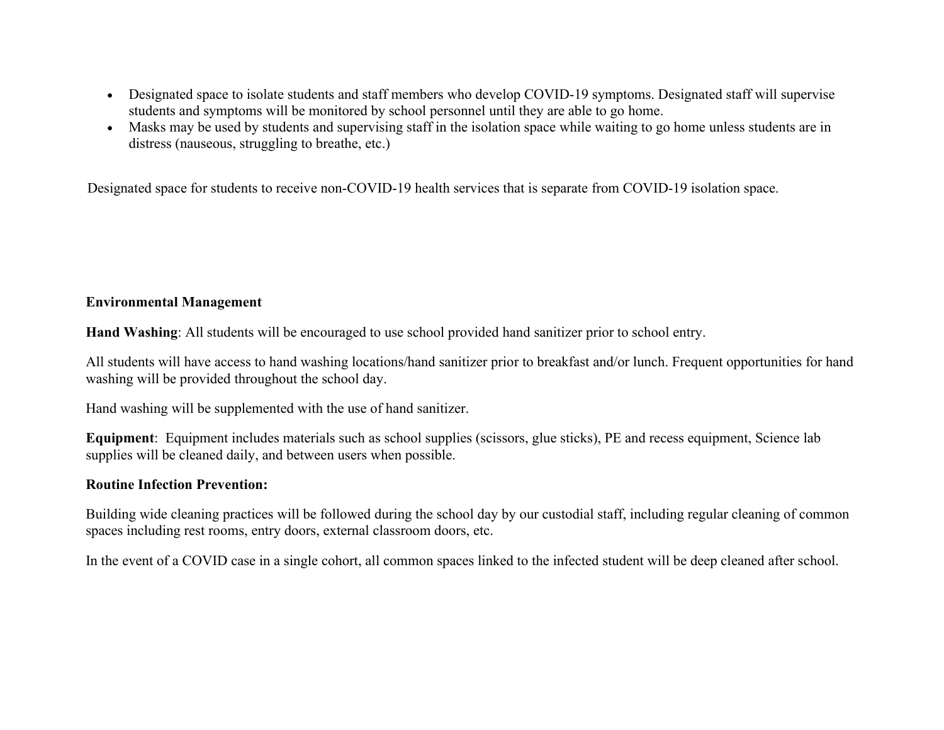- Designated space to isolate students and staff members who develop COVID-19 symptoms. Designated staff will supervise students and symptoms will be monitored by school personnel until they are able to go home.
- Masks may be used by students and supervising staff in the isolation space while waiting to go home unless students are in distress (nauseous, struggling to breathe, etc.)

Designated space for students to receive non-COVID-19 health services that is separate from COVID-19 isolation space.

## **Environmental Management**

**Hand Washing**: All students will be encouraged to use school provided hand sanitizer prior to school entry.

All students will have access to hand washing locations/hand sanitizer prior to breakfast and/or lunch. Frequent opportunities for hand washing will be provided throughout the school day.

Hand washing will be supplemented with the use of hand sanitizer.

**Equipment**: Equipment includes materials such as school supplies (scissors, glue sticks), PE and recess equipment, Science lab supplies will be cleaned daily, and between users when possible.

## **Routine Infection Prevention:**

Building wide cleaning practices will be followed during the school day by our custodial staff, including regular cleaning of common spaces including rest rooms, entry doors, external classroom doors, etc.

In the event of a COVID case in a single cohort, all common spaces linked to the infected student will be deep cleaned after school.